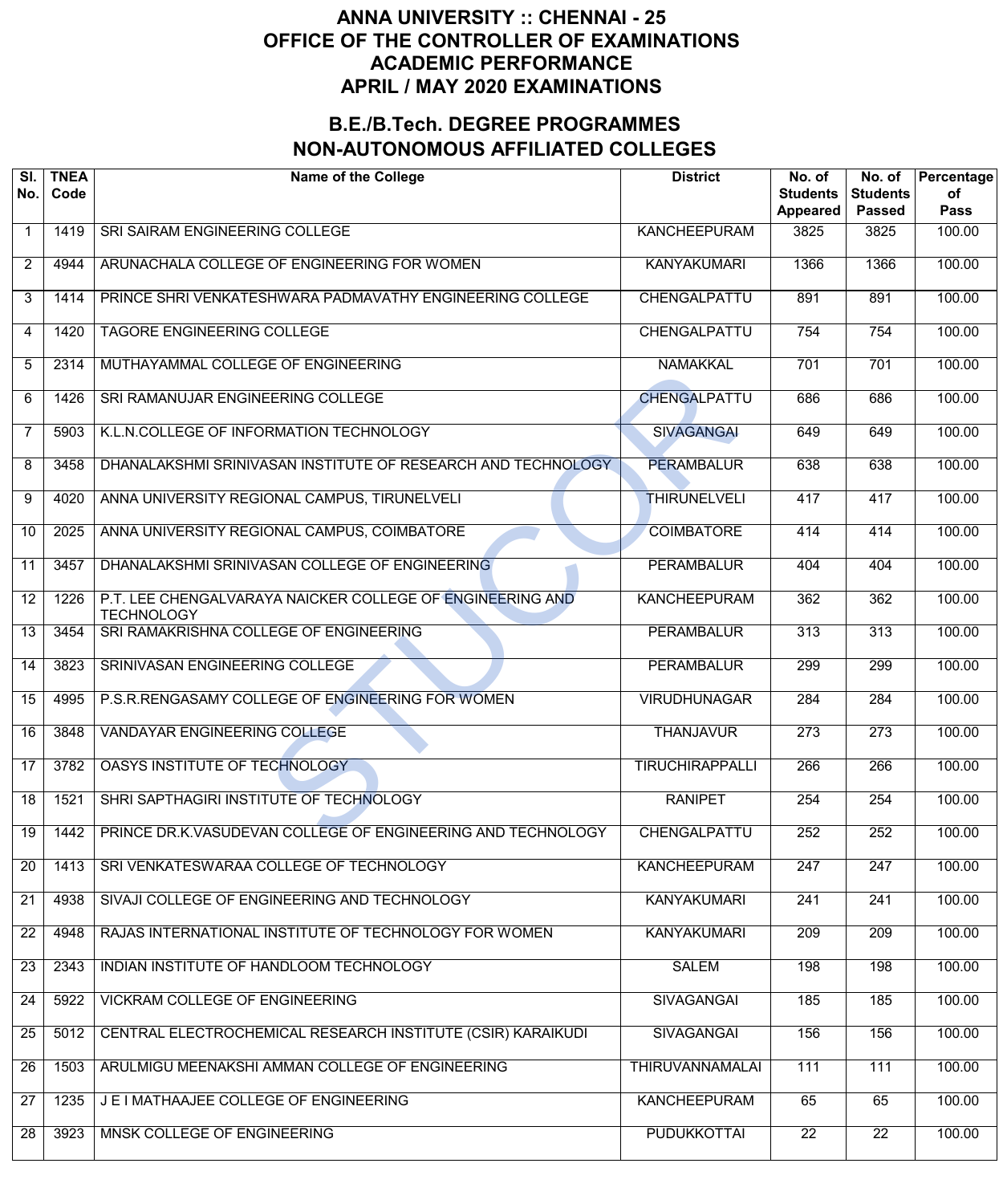| SI.<br>No.      | <b>TNEA</b><br>Code | <b>Name of the College</b>                                                     | <b>District</b>        | No. of<br><b>Students</b><br>Appeared | No. of<br><b>Students</b><br><b>Passed</b> | Percentage<br>οf<br><b>Pass</b> |
|-----------------|---------------------|--------------------------------------------------------------------------------|------------------------|---------------------------------------|--------------------------------------------|---------------------------------|
| $\mathbf 1$     | 1419                | SRI SAIRAM ENGINEERING COLLEGE                                                 | <b>KANCHEEPURAM</b>    | 3825                                  | 3825                                       | 100.00                          |
| $\overline{2}$  | 4944                | ARUNACHALA COLLEGE OF ENGINEERING FOR WOMEN                                    | <b>KANYAKUMARI</b>     | 1366                                  | 1366                                       | 100.00                          |
| 3               | 1414                | PRINCE SHRI VENKATESHWARA PADMAVATHY ENGINEERING COLLEGE                       | CHENGALPATTU           | 891                                   | 891                                        | 100.00                          |
| 4               | 1420                | <b>TAGORE ENGINEERING COLLEGE</b>                                              | CHENGALPATTU           | 754                                   | 754                                        | 100.00                          |
| 5               | 2314                | MUTHAYAMMAL COLLEGE OF ENGINEERING                                             | <b>NAMAKKAL</b>        | 701                                   | 701                                        | 100.00                          |
| 6               | 1426                | SRI RAMANUJAR ENGINEERING COLLEGE                                              | <b>CHENGALPATTU</b>    | 686                                   | 686                                        | 100.00                          |
| $\overline{7}$  | 5903                | K.L.N.COLLEGE OF INFORMATION TECHNOLOGY                                        | <b>SIVAGANGAI</b>      | 649                                   | 649                                        | 100.00                          |
| 8               | 3458                | DHANALAKSHMI SRINIVASAN INSTITUTE OF RESEARCH AND TECHNOLOGY                   | <b>PERAMBALUR</b>      | 638                                   | 638                                        | 100.00                          |
| 9               | 4020                | ANNA UNIVERSITY REGIONAL CAMPUS, TIRUNELVELI                                   | <b>THIRUNELVELI</b>    | 417                                   | 417                                        | 100.00                          |
| 10              | 2025                | ANNA UNIVERSITY REGIONAL CAMPUS, COIMBATORE                                    | <b>COIMBATORE</b>      | 414                                   | 414                                        | 100.00                          |
| 11              | 3457                | DHANALAKSHMI SRINIVASAN COLLEGE OF ENGINEERING                                 | <b>PERAMBALUR</b>      | 404                                   | 404                                        | 100.00                          |
| 12              | 1226                | P.T. LEE CHENGALVARAYA NAICKER COLLEGE OF ENGINEERING AND<br><b>TECHNOLOGY</b> | <b>KANCHEEPURAM</b>    | 362                                   | 362                                        | 100.00                          |
| 13              | 3454                | SRI RAMAKRISHNA COLLEGE OF ENGINEERING                                         | <b>PERAMBALUR</b>      | 313                                   | $\overline{313}$                           | 100.00                          |
| 14              | 3823                | SRINIVASAN ENGINEERING COLLEGE                                                 | <b>PERAMBALUR</b>      | 299                                   | 299                                        | 100.00                          |
| 15              | 4995                | P.S.R.RENGASAMY COLLEGE OF ENGINEERING FOR WOMEN                               | <b>VIRUDHUNAGAR</b>    | 284                                   | 284                                        | 100.00                          |
| 16              | 3848                | <b>VANDAYAR ENGINEERING COLLEGE</b>                                            | <b>THANJAVUR</b>       | 273                                   | 273                                        | 100.00                          |
| 17              | 3782                | OASYS INSTITUTE OF TECHNOLOGY                                                  | <b>TIRUCHIRAPPALLI</b> | 266                                   | 266                                        | 100.00                          |
| $\overline{18}$ | 1521                | SHRI SAPTHAGIRI INSTITUTE OF TECHNOLOGY                                        | <b>RANIPET</b>         | 254                                   | 254                                        | 100.00                          |
| 19              | 1442                | PRINCE DR.K.VASUDEVAN COLLEGE OF ENGINEERING AND TECHNOLOGY                    | CHENGALPATTU           | 252                                   | 252                                        | 100.00                          |
| 20              | 1413                | SRI VENKATESWARAA COLLEGE OF TECHNOLOGY                                        | <b>KANCHEEPURAM</b>    | 247                                   | 247                                        | 100.00                          |
| 21              | 4938                | SIVAJI COLLEGE OF ENGINEERING AND TECHNOLOGY                                   | <b>KANYAKUMARI</b>     | 241                                   | 241                                        | 100.00                          |
| $\overline{22}$ | 4948                | RAJAS INTERNATIONAL INSTITUTE OF TECHNOLOGY FOR WOMEN                          | <b>KANYAKUMARI</b>     | 209                                   | $\overline{209}$                           | 100.00                          |
| 23              | 2343                | INDIAN INSTITUTE OF HANDLOOM TECHNOLOGY                                        | <b>SALEM</b>           | 198                                   | 198                                        | 100.00                          |
| 24              | 5922                | <b>VICKRAM COLLEGE OF ENGINEERING</b>                                          | <b>SIVAGANGAI</b>      | 185                                   | 185                                        | 100.00                          |
| 25              | 5012                | CENTRAL ELECTROCHEMICAL RESEARCH INSTITUTE (CSIR) KARAIKUDI                    | <b>SIVAGANGAI</b>      | 156                                   | 156                                        | 100.00                          |
| 26              | 1503                | ARULMIGU MEENAKSHI AMMAN COLLEGE OF ENGINEERING                                | <b>THIRUVANNAMALAI</b> | 111                                   | 111                                        | 100.00                          |
| 27              | 1235                | J E I MATHAAJEE COLLEGE OF ENGINEERING                                         | <b>KANCHEEPURAM</b>    | 65                                    | 65                                         | 100.00                          |
| 28              | 3923                | MNSK COLLEGE OF ENGINEERING                                                    | <b>PUDUKKOTTAI</b>     | $\overline{22}$                       | $\overline{22}$                            | 100.00                          |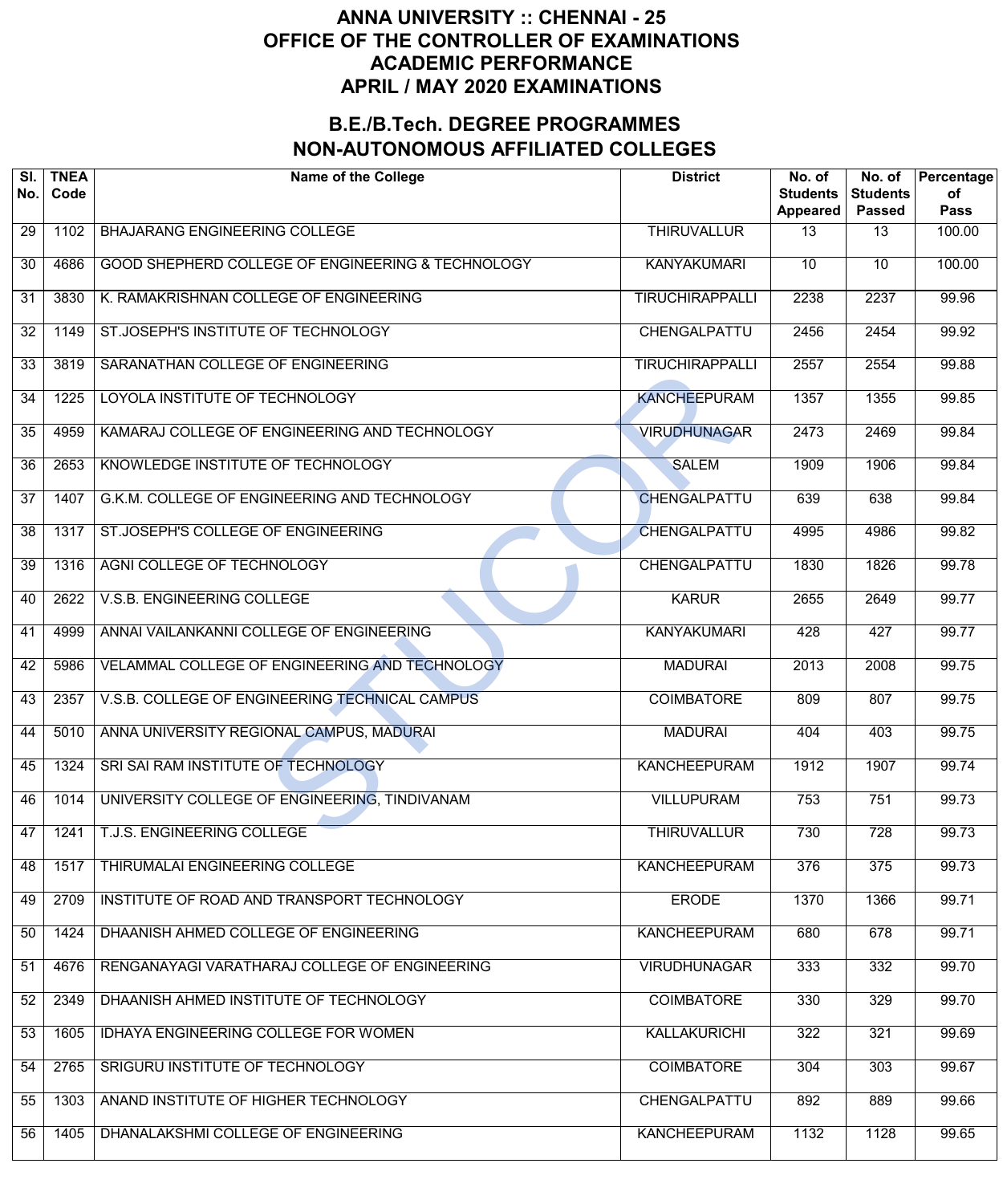| SI.<br>No.      | <b>TNEA</b><br>Code | <b>Name of the College</b>                        | <b>District</b>        | No. of<br><b>Students</b><br>Appeared | No. of<br><b>Students</b><br><b>Passed</b> | Percentage<br>οf<br><b>Pass</b> |
|-----------------|---------------------|---------------------------------------------------|------------------------|---------------------------------------|--------------------------------------------|---------------------------------|
| 29              | 1102                | <b>BHAJARANG ENGINEERING COLLEGE</b>              | <b>THIRUVALLUR</b>     | $\overline{13}$                       | $\overline{13}$                            | 100.00                          |
| 30              | 4686                | GOOD SHEPHERD COLLEGE OF ENGINEERING & TECHNOLOGY | <b>KANYAKUMARI</b>     | $\overline{10}$                       | $\overline{10}$                            | 100.00                          |
| 31              | 3830                | K. RAMAKRISHNAN COLLEGE OF ENGINEERING            | <b>TIRUCHIRAPPALLI</b> | 2238                                  | 2237                                       | 99.96                           |
| 32              | 1149                | ST.JOSEPH'S INSTITUTE OF TECHNOLOGY               | <b>CHENGALPATTU</b>    | 2456                                  | 2454                                       | 99.92                           |
| 33              | 3819                | SARANATHAN COLLEGE OF ENGINEERING                 | <b>TIRUCHIRAPPALLI</b> | 2557                                  | 2554                                       | 99.88                           |
| 34              | 1225                | LOYOLA INSTITUTE OF TECHNOLOGY                    | <b>KANCHEEPURAM</b>    | 1357                                  | 1355                                       | 99.85                           |
| 35              | 4959                | KAMARAJ COLLEGE OF ENGINEERING AND TECHNOLOGY     | <b>VIRUDHUNAGAR</b>    | 2473                                  | 2469                                       | 99.84                           |
| 36              | 2653                | KNOWLEDGE INSTITUTE OF TECHNOLOGY                 | <b>SALEM</b>           | 1909                                  | 1906                                       | 99.84                           |
| $\overline{37}$ | 1407                | G.K.M. COLLEGE OF ENGINEERING AND TECHNOLOGY      | CHENGALPATTU           | 639                                   | 638                                        | 99.84                           |
| 38              | 1317                | ST.JOSEPH'S COLLEGE OF ENGINEERING                | <b>CHENGALPATTU</b>    | 4995                                  | 4986                                       | 99.82                           |
| 39              | 1316                | AGNI COLLEGE OF TECHNOLOGY                        | CHENGALPATTU           | 1830                                  | 1826                                       | 99.78                           |
| 40              | 2622                | V.S.B. ENGINEERING COLLEGE                        | <b>KARUR</b>           | 2655                                  | 2649                                       | 99.77                           |
| 41              | 4999                | ANNAI VAILANKANNI COLLEGE OF ENGINEERING          | <b>KANYAKUMARI</b>     | 428                                   | 427                                        | 99.77                           |
| 42              | 5986                | VELAMMAL COLLEGE OF ENGINEERING AND TECHNOLOGY    | <b>MADURAI</b>         | 2013                                  | 2008                                       | 99.75                           |
| 43              | 2357                | V.S.B. COLLEGE OF ENGINEERING TECHNICAL CAMPUS    | <b>COIMBATORE</b>      | 809                                   | 807                                        | 99.75                           |
| 44              | 5010                | ANNA UNIVERSITY REGIONAL CAMPUS, MADURAI          | <b>MADURAI</b>         | 404                                   | 403                                        | 99.75                           |
| 45              | 1324                | SRI SAI RAM INSTITUTE OF TECHNOLOGY               | <b>KANCHEEPURAM</b>    | 1912                                  | 1907                                       | 99.74                           |
| 46              | 1014                | UNIVERSITY COLLEGE OF ENGINEERING, TINDIVANAM     | <b>VILLUPURAM</b>      | 753                                   | 751                                        | 99.73                           |
| 47              | 1241                | T.J.S. ENGINEERING COLLEGE                        | <b>THIRUVALLUR</b>     | 730                                   | 728                                        | 99.73                           |
| 48              | 1517                | THIRUMALAI ENGINEERING COLLEGE                    | <b>KANCHEEPURAM</b>    | 376                                   | 375                                        | 99.73                           |
| 49              | 2709                | INSTITUTE OF ROAD AND TRANSPORT TECHNOLOGY        | <b>ERODE</b>           | 1370                                  | 1366                                       | 99.71                           |
| 50              | 1424                | DHAANISH AHMED COLLEGE OF ENGINEERING             | <b>KANCHEEPURAM</b>    | 680                                   | 678                                        | 99.71                           |
| 51              | 4676                | RENGANAYAGI VARATHARAJ COLLEGE OF ENGINEERING     | <b>VIRUDHUNAGAR</b>    | 333                                   | 332                                        | 99.70                           |
| 52              | 2349                | DHAANISH AHMED INSTITUTE OF TECHNOLOGY            | <b>COIMBATORE</b>      | 330                                   | 329                                        | 99.70                           |
| 53              | 1605                | IDHAYA ENGINEERING COLLEGE FOR WOMEN              | KALLAKURICHI           | 322                                   | 321                                        | 99.69                           |
| 54              | 2765                | SRIGURU INSTITUTE OF TECHNOLOGY                   | <b>COIMBATORE</b>      | 304                                   | 303                                        | 99.67                           |
| 55              | 1303                | ANAND INSTITUTE OF HIGHER TECHNOLOGY              | CHENGALPATTU           | 892                                   | 889                                        | 99.66                           |
| 56              | 1405                | DHANALAKSHMI COLLEGE OF ENGINEERING               | <b>KANCHEEPURAM</b>    | 1132                                  | 1128                                       | 99.65                           |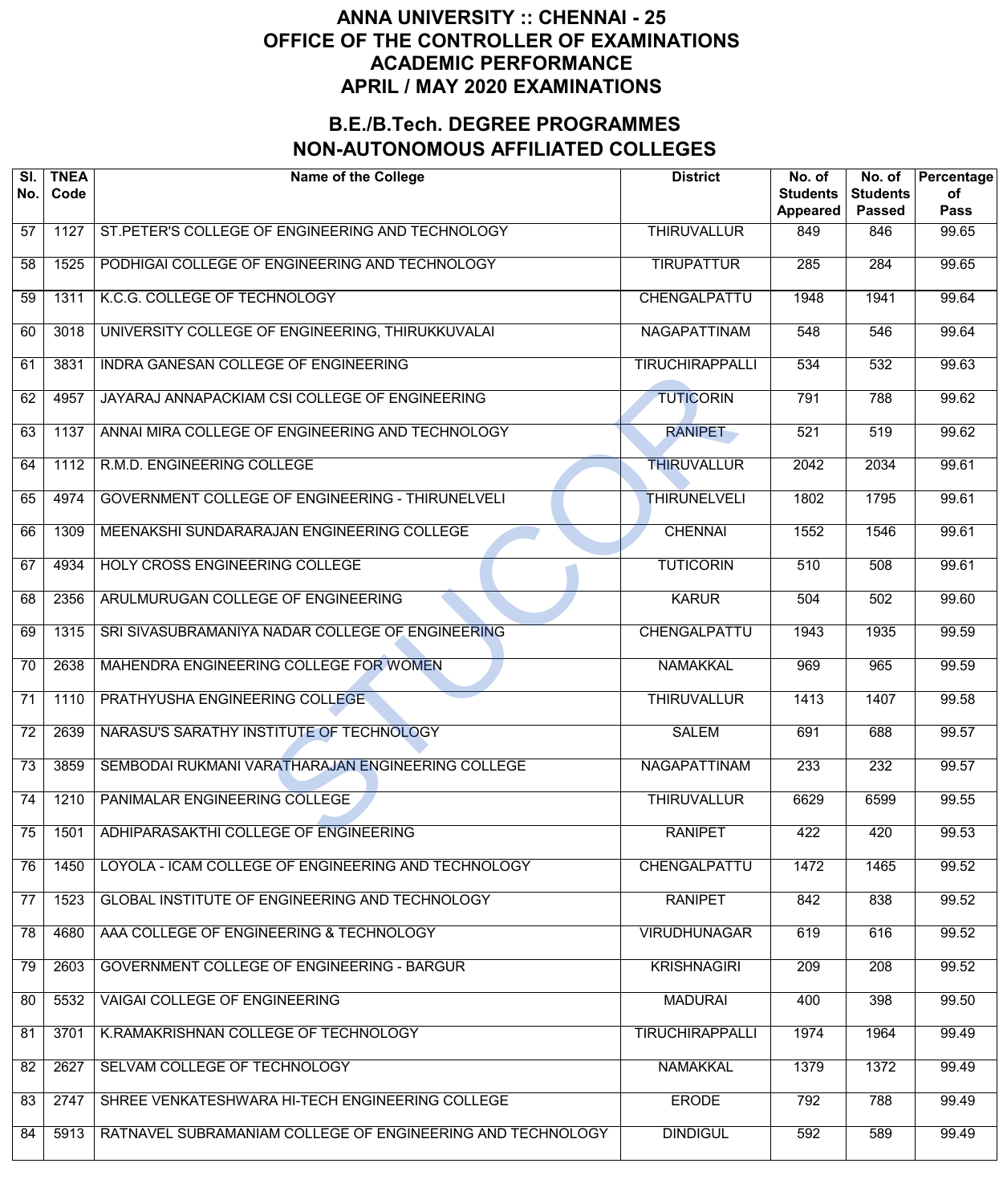| SI.<br>No.      | <b>TNEA</b><br>Code | <b>Name of the College</b>                                 | <b>District</b>        | No. of<br><b>Students</b><br><b>Appeared</b> | No. of<br><b>Students</b><br><b>Passed</b> | Percentage<br>of<br><b>Pass</b> |
|-----------------|---------------------|------------------------------------------------------------|------------------------|----------------------------------------------|--------------------------------------------|---------------------------------|
| 57              | 1127                | ST. PETER'S COLLEGE OF ENGINEERING AND TECHNOLOGY          | <b>THIRUVALLUR</b>     | 849                                          | 846                                        | 99.65                           |
| 58              | 1525                | PODHIGAI COLLEGE OF ENGINEERING AND TECHNOLOGY             | <b>TIRUPATTUR</b>      | 285                                          | 284                                        | 99.65                           |
| 59              | 1311                | K.C.G. COLLEGE OF TECHNOLOGY                               | CHENGALPATTU           | 1948                                         | 1941                                       | 99.64                           |
| 60              | 3018                | UNIVERSITY COLLEGE OF ENGINEERING, THIRUKKUVALAI           | NAGAPATTINAM           | 548                                          | 546                                        | 99.64                           |
| 61              | 3831                | INDRA GANESAN COLLEGE OF ENGINEERING                       | <b>TIRUCHIRAPPALLI</b> | 534                                          | 532                                        | 99.63                           |
| 62              | 4957                | JAYARAJ ANNAPACKIAM CSI COLLEGE OF ENGINEERING             | <b>TUTICORIN</b>       | 791                                          | 788                                        | 99.62                           |
| 63              | 1137                | ANNAI MIRA COLLEGE OF ENGINEERING AND TECHNOLOGY           | <b>RANIPET</b>         | 521                                          | 519                                        | 99.62                           |
| 64              | 1112                | R.M.D. ENGINEERING COLLEGE                                 | <b>THIRUVALLUR</b>     | 2042                                         | 2034                                       | 99.61                           |
| 65              | 4974                | GOVERNMENT COLLEGE OF ENGINEERING - THIRUNELVELI           | <b>THIRUNELVELI</b>    | 1802                                         | 1795                                       | 99.61                           |
| 66              | 1309                | MEENAKSHI SUNDARARAJAN ENGINEERING COLLEGE                 | <b>CHENNAI</b>         | 1552                                         | 1546                                       | 99.61                           |
| 67              | 4934                | HOLY CROSS ENGINEERING COLLEGE                             | <b>TUTICORIN</b>       | 510                                          | 508                                        | 99.61                           |
| 68              | 2356                | ARULMURUGAN COLLEGE OF ENGINEERING                         | <b>KARUR</b>           | 504                                          | 502                                        | 99.60                           |
| 69              | 1315                | SRI SIVASUBRAMANIYA NADAR COLLEGE OF ENGINEERING           | CHENGALPATTU           | 1943                                         | 1935                                       | 99.59                           |
| 70              | 2638                | MAHENDRA ENGINEERING COLLEGE FOR WOMEN                     | <b>NAMAKKAL</b>        | 969                                          | 965                                        | 99.59                           |
| $\overline{71}$ | 1110                | PRATHYUSHA ENGINEERING COLLEGE                             | <b>THIRUVALLUR</b>     | 1413                                         | 1407                                       | 99.58                           |
| $\overline{72}$ | 2639                | NARASU'S SARATHY INSTITUTE OF TECHNOLOGY                   | <b>SALEM</b>           | 691                                          | 688                                        | 99.57                           |
| $\overline{73}$ | 3859                | SEMBODAI RUKMANI VARATHARAJAN ENGINEERING COLLEGE          | <b>NAGAPATTINAM</b>    | 233                                          | 232                                        | 99.57                           |
| 74              | 1210                | PANIMALAR ENGINEERING COLLEGE                              | <b>THIRUVALLUR</b>     | 6629                                         | 6599                                       | 99.55                           |
| 75              | 1501                | ADHIPARASAKTHI COLLEGE OF ENGINEERING                      | <b>RANIPET</b>         | 422                                          | 420                                        | 99.53                           |
| 76              | 1450                | LOYOLA - ICAM COLLEGE OF ENGINEERING AND TECHNOLOGY        | CHENGALPATTU           | 1472                                         | 1465                                       | 99.52                           |
| 77              | 1523                | GLOBAL INSTITUTE OF ENGINEERING AND TECHNOLOGY             | <b>RANIPET</b>         | 842                                          | 838                                        | 99.52                           |
| 78              | 4680                | AAA COLLEGE OF ENGINEERING & TECHNOLOGY                    | <b>VIRUDHUNAGAR</b>    | 619                                          | 616                                        | 99.52                           |
| 79              | 2603                | <b>GOVERNMENT COLLEGE OF ENGINEERING - BARGUR</b>          | <b>KRISHNAGIRI</b>     | 209                                          | $\overline{208}$                           | 99.52                           |
| 80              | 5532                | VAIGAI COLLEGE OF ENGINEERING                              | <b>MADURAI</b>         | 400                                          | 398                                        | 99.50                           |
| 81              | 3701                | K.RAMAKRISHNAN COLLEGE OF TECHNOLOGY                       | <b>TIRUCHIRAPPALLI</b> | 1974                                         | 1964                                       | 99.49                           |
| 82              | 2627                | SELVAM COLLEGE OF TECHNOLOGY                               | <b>NAMAKKAL</b>        | 1379                                         | 1372                                       | 99.49                           |
| 83              | 2747                | SHREE VENKATESHWARA HI-TECH ENGINEERING COLLEGE            | <b>ERODE</b>           | 792                                          | 788                                        | 99.49                           |
| 84              | 5913                | RATNAVEL SUBRAMANIAM COLLEGE OF ENGINEERING AND TECHNOLOGY | <b>DINDIGUL</b>        | 592                                          | 589                                        | 99.49                           |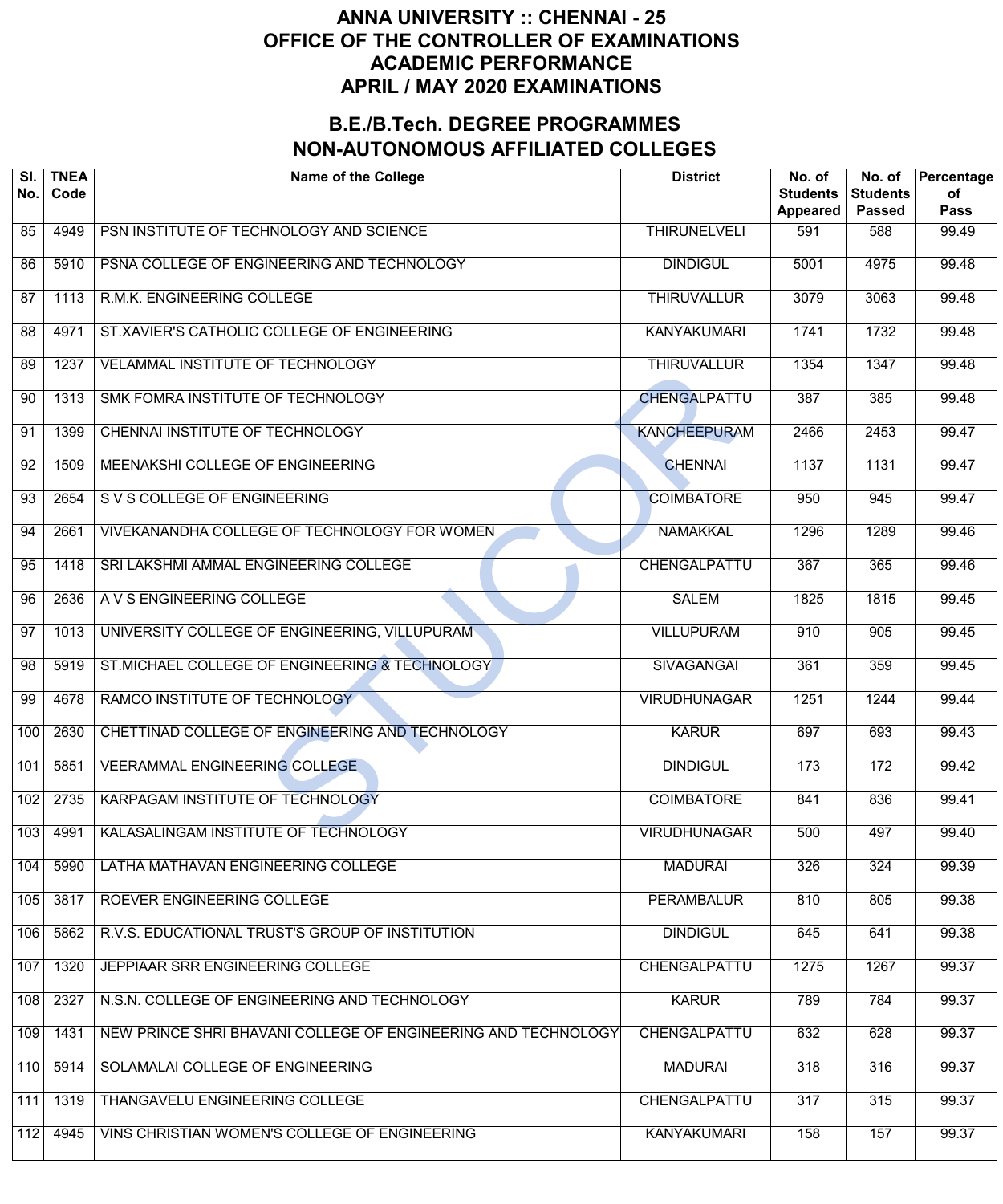| SI.<br>No.      | <b>TNEA</b><br>Code | <b>Name of the College</b>                                    | <b>District</b>     | No. of<br><b>Students</b><br>Appeared | No. of<br><b>Students</b><br><b>Passed</b> | Percentage<br>of<br><b>Pass</b> |
|-----------------|---------------------|---------------------------------------------------------------|---------------------|---------------------------------------|--------------------------------------------|---------------------------------|
| 85              | 4949                | PSN INSTITUTE OF TECHNOLOGY AND SCIENCE                       | <b>THIRUNELVELI</b> | 591                                   | 588                                        | 99.49                           |
| 86              | 5910                | PSNA COLLEGE OF ENGINEERING AND TECHNOLOGY                    | <b>DINDIGUL</b>     | 5001                                  | 4975                                       | 99.48                           |
| $\overline{87}$ | 1113                | R.M.K. ENGINEERING COLLEGE                                    | <b>THIRUVALLUR</b>  | 3079                                  | 3063                                       | 99.48                           |
| 88              | 4971                | ST.XAVIER'S CATHOLIC COLLEGE OF ENGINEERING                   | <b>KANYAKUMARI</b>  | 1741                                  | 1732                                       | 99.48                           |
| 89              | 1237                | <b>VELAMMAL INSTITUTE OF TECHNOLOGY</b>                       | <b>THIRUVALLUR</b>  | 1354                                  | 1347                                       | 99.48                           |
| 90              | 1313                | SMK FOMRA INSTITUTE OF TECHNOLOGY                             | <b>CHENGALPATTU</b> | 387                                   | 385                                        | 99.48                           |
| 91              | 1399                | CHENNAI INSTITUTE OF TECHNOLOGY                               | <b>KANCHEEPURAM</b> | 2466                                  | 2453                                       | 99.47                           |
| 92              | 1509                | MEENAKSHI COLLEGE OF ENGINEERING                              | <b>CHENNAI</b>      | 1137                                  | 1131                                       | 99.47                           |
| 93              | 2654                | S V S COLLEGE OF ENGINEERING                                  | <b>COIMBATORE</b>   | 950                                   | 945                                        | 99.47                           |
| 94              | 2661                | VIVEKANANDHA COLLEGE OF TECHNOLOGY FOR WOMEN                  | <b>NAMAKKAL</b>     | 1296                                  | 1289                                       | 99.46                           |
| 95              | 1418                | SRI LAKSHMI AMMAL ENGINEERING COLLEGE                         | CHENGALPATTU        | 367                                   | 365                                        | 99.46                           |
| 96              | 2636                | A V S ENGINEERING COLLEGE                                     | <b>SALEM</b>        | $\frac{1}{1825}$                      | 1815                                       | 99.45                           |
| $\overline{97}$ | 1013                | UNIVERSITY COLLEGE OF ENGINEERING, VILLUPURAM                 | <b>VILLUPURAM</b>   | 910                                   | 905                                        | 99.45                           |
| 98              | 5919                | ST.MICHAEL COLLEGE OF ENGINEERING & TECHNOLOGY                | <b>SIVAGANGAI</b>   | 361                                   | 359                                        | 99.45                           |
| 99              | 4678                | RAMCO INSTITUTE OF TECHNOLOGY                                 | <b>VIRUDHUNAGAR</b> | 1251                                  | 1244                                       | 99.44                           |
| 100             | 2630                | CHETTINAD COLLEGE OF ENGINEERING AND TECHNOLOGY               | <b>KARUR</b>        | 697                                   | 693                                        | 99.43                           |
| 101             | 5851                | VEERAMMAL ENGINEERING COLLEGE                                 | <b>DINDIGUL</b>     | 173                                   | 172                                        | 99.42                           |
| 102             | 2735                | KARPAGAM INSTITUTE OF TECHNOLOGY                              | <b>COIMBATORE</b>   | 841                                   | 836                                        | 99.41                           |
| 103             | 4991                | KALASALINGAM INSTITUTE OF TECHNOLOGY                          | <b>VIRUDHUNAGAR</b> | 500                                   | 497                                        | 99.40                           |
| 104             | 5990                | LATHA MATHAVAN ENGINEERING COLLEGE                            | <b>MADURAI</b>      | 326                                   | 324                                        | 99.39                           |
| 105             | 3817                | ROEVER ENGINEERING COLLEGE                                    | <b>PERAMBALUR</b>   | 810                                   | 805                                        | 99.38                           |
| 106             | 5862                | R.V.S. EDUCATIONAL TRUST'S GROUP OF INSTITUTION               | <b>DINDIGUL</b>     | 645                                   | 641                                        | 99.38                           |
| 107             | 1320                | JEPPIAAR SRR ENGINEERING COLLEGE                              | CHENGALPATTU        | 1275                                  | 1267                                       | 99.37                           |
| 108             | 2327                | N.S.N. COLLEGE OF ENGINEERING AND TECHNOLOGY                  | <b>KARUR</b>        | 789                                   | 784                                        | 99.37                           |
| 109             | 1431                | NEW PRINCE SHRI BHAVANI COLLEGE OF ENGINEERING AND TECHNOLOGY | <b>CHENGALPATTU</b> | 632                                   | 628                                        | 99.37                           |
| 110             | 5914                | SOLAMALAI COLLEGE OF ENGINEERING                              | <b>MADURAI</b>      | 318                                   | 316                                        | 99.37                           |
| 111             | 1319                | THANGAVELU ENGINEERING COLLEGE                                | CHENGALPATTU        | 317                                   | 315                                        | 99.37                           |
| 112             | 4945                | VINS CHRISTIAN WOMEN'S COLLEGE OF ENGINEERING                 | <b>KANYAKUMARI</b>  | 158                                   | 157                                        | 99.37                           |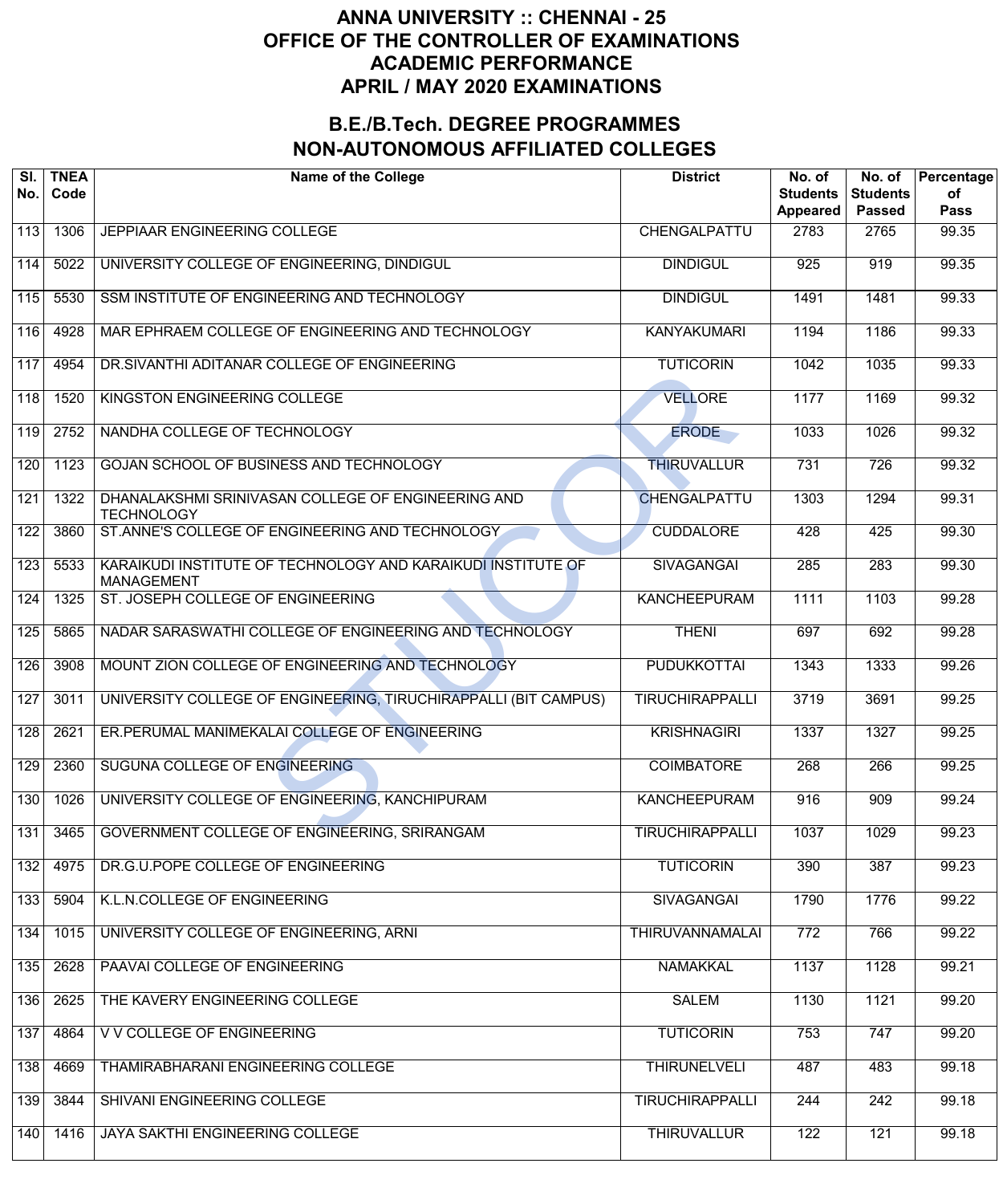| SI.<br>No. | <b>TNEA</b><br>Code | <b>Name of the College</b>                                                        | <b>District</b>        | No. of<br><b>Students</b><br><b>Appeared</b> | No. of<br><b>Students</b><br><b>Passed</b> | Percentage<br>of<br><b>Pass</b> |
|------------|---------------------|-----------------------------------------------------------------------------------|------------------------|----------------------------------------------|--------------------------------------------|---------------------------------|
| 113        | 1306                | JEPPIAAR ENGINEERING COLLEGE                                                      | CHENGALPATTU           | 2783                                         | 2765                                       | 99.35                           |
| 114        | 5022                | UNIVERSITY COLLEGE OF ENGINEERING, DINDIGUL                                       | <b>DINDIGUL</b>        | 925                                          | 919                                        | 99.35                           |
| 115        | 5530                | SSM INSTITUTE OF ENGINEERING AND TECHNOLOGY                                       | <b>DINDIGUL</b>        | 1491                                         | 1481                                       | 99.33                           |
| 116        | 4928                | MAR EPHRAEM COLLEGE OF ENGINEERING AND TECHNOLOGY                                 | <b>KANYAKUMARI</b>     | 1194                                         | 1186                                       | 99.33                           |
| 117        | 4954                | DR. SIVANTHI ADITANAR COLLEGE OF ENGINEERING                                      | <b>TUTICORIN</b>       | 1042                                         | 1035                                       | 99.33                           |
| 118        | 1520                | KINGSTON ENGINEERING COLLEGE                                                      | <b>VELLORE</b>         | 1177                                         | 1169                                       | 99.32                           |
| 119        | 2752                | NANDHA COLLEGE OF TECHNOLOGY                                                      | <b>ERODE</b>           | 1033                                         | 1026                                       | 99.32                           |
| 120        | 1123                | GOJAN SCHOOL OF BUSINESS AND TECHNOLOGY                                           | <b>THIRUVALLUR</b>     | 731                                          | 726                                        | 99.32                           |
| 121        | 1322                | DHANALAKSHMI SRINIVASAN COLLEGE OF ENGINEERING AND<br><b>TECHNOLOGY</b>           | CHENGALPATTU           | 1303                                         | 1294                                       | 99.31                           |
| 122        | 3860                | ST.ANNE'S COLLEGE OF ENGINEERING AND TECHNOLOGY                                   | <b>CUDDALORE</b>       | 428                                          | 425                                        | 99.30                           |
| 123        | 5533                | KARAIKUDI INSTITUTE OF TECHNOLOGY AND KARAIKUDI INSTITUTE OF<br><b>MANAGEMENT</b> | <b>SIVAGANGAI</b>      | 285                                          | 283                                        | 99.30                           |
| 124        | 1325                | ST. JOSEPH COLLEGE OF ENGINEERING                                                 | <b>KANCHEEPURAM</b>    | 1111                                         | 1103                                       | 99.28                           |
| 125        | 5865                | NADAR SARASWATHI COLLEGE OF ENGINEERING AND TECHNOLOGY                            | <b>THENI</b>           | 697                                          | 692                                        | 99.28                           |
| 126        | 3908                | MOUNT ZION COLLEGE OF ENGINEERING AND TECHNOLOGY                                  | <b>PUDUKKOTTAI</b>     | 1343                                         | 1333                                       | 99.26                           |
| 127        | 3011                | UNIVERSITY COLLEGE OF ENGINEERING, TIRUCHIRAPPALLI (BIT CAMPUS)                   | <b>TIRUCHIRAPPALLI</b> | 3719                                         | 3691                                       | 99.25                           |
| 128        | 2621                | ER.PERUMAL MANIMEKALAI COLLEGE OF ENGINEERING                                     | <b>KRISHNAGIRI</b>     | 1337                                         | 1327                                       | 99.25                           |
| 129        | 2360                | SUGUNA COLLEGE OF ENGINEERING                                                     | <b>COIMBATORE</b>      | 268                                          | 266                                        | 99.25                           |
| 130        | 1026                | UNIVERSITY COLLEGE OF ENGINEERING, KANCHIPURAM                                    | <b>KANCHEEPURAM</b>    | 916                                          | 909                                        | 99.24                           |
| 131        | 3465                | GOVERNMENT COLLEGE OF ENGINEERING, SRIRANGAM                                      | <b>TIRUCHIRAPPALLI</b> | 1037                                         | 1029                                       | 99.23                           |
| 132        | 4975                | DR.G.U.POPE COLLEGE OF ENGINEERING                                                | <b>TUTICORIN</b>       | 390                                          | 387                                        | 99.23                           |
| 133        | 5904                | K.L.N.COLLEGE OF ENGINEERING                                                      | <b>SIVAGANGAI</b>      | 1790                                         | 1776                                       | 99.22                           |
| 134        | 1015                | UNIVERSITY COLLEGE OF ENGINEERING, ARNI                                           | <b>THIRUVANNAMALAI</b> | $\overline{772}$                             | 766                                        | 99.22                           |
| 135        | 2628                | PAAVAI COLLEGE OF ENGINEERING                                                     | <b>NAMAKKAL</b>        | 1137                                         | 1128                                       | 99.21                           |
| 136        | 2625                | THE KAVERY ENGINEERING COLLEGE                                                    | <b>SALEM</b>           | 1130                                         | 1121                                       | 99.20                           |
| 137        | 4864                | V V COLLEGE OF ENGINEERING                                                        | <b>TUTICORIN</b>       | 753                                          | 747                                        | 99.20                           |
| 138        | 4669                | THAMIRABHARANI ENGINEERING COLLEGE                                                | <b>THIRUNELVELI</b>    | 487                                          | 483                                        | 99.18                           |
| 139        | 3844                | SHIVANI ENGINEERING COLLEGE                                                       | <b>TIRUCHIRAPPALLI</b> | 244                                          | $\overline{242}$                           | 99.18                           |
| 140        | 1416                | JAYA SAKTHI ENGINEERING COLLEGE                                                   | <b>THIRUVALLUR</b>     | 122                                          | 121                                        | 99.18                           |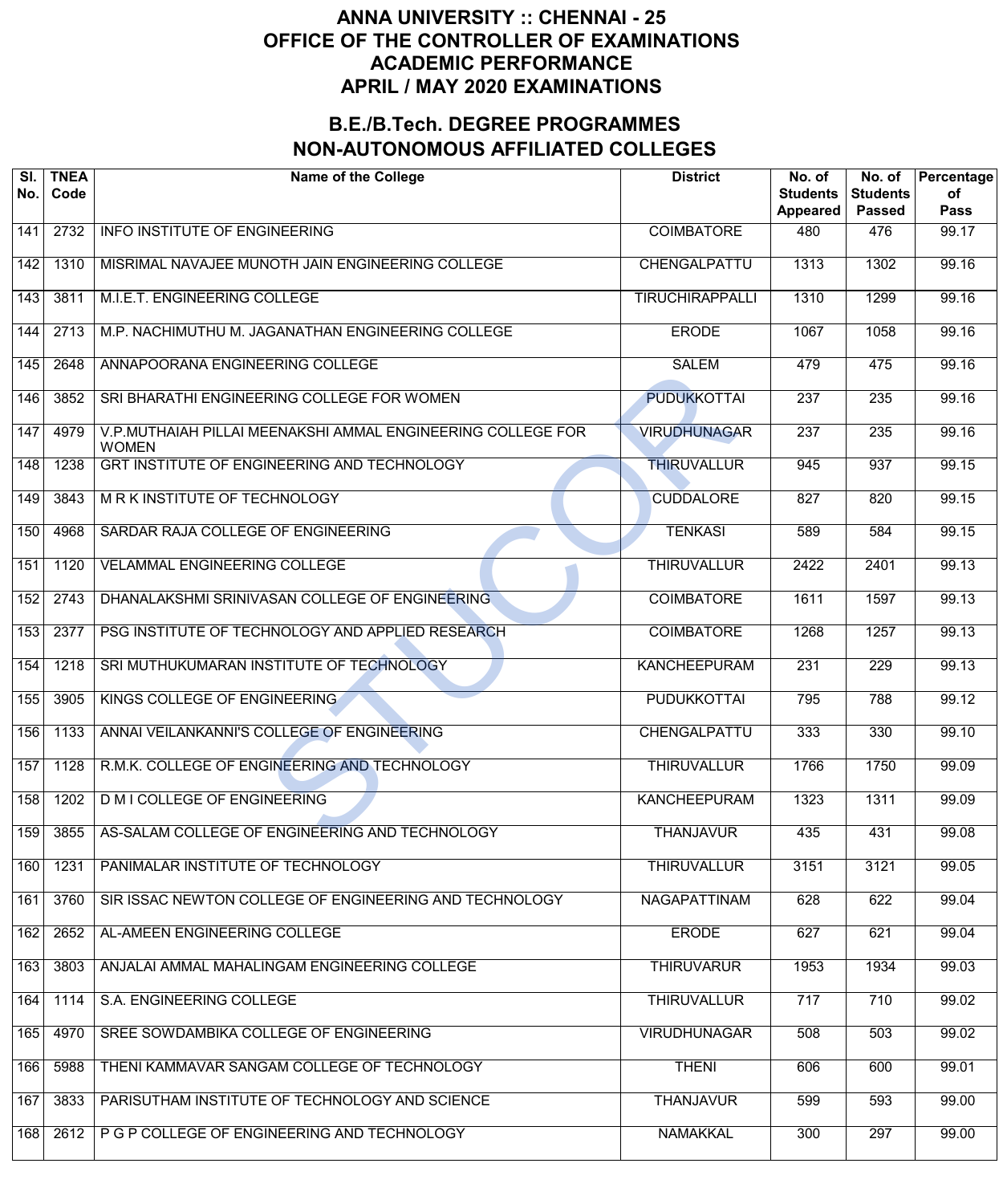| SI.<br>No. | <b>TNEA</b><br>Code | <b>Name of the College</b>                                                  | <b>District</b>        | No. of<br><b>Students</b><br><b>Appeared</b> | No. of<br><b>Students</b><br><b>Passed</b> | Percentage<br>of<br><b>Pass</b> |
|------------|---------------------|-----------------------------------------------------------------------------|------------------------|----------------------------------------------|--------------------------------------------|---------------------------------|
| 141        | 2732                | <b>INFO INSTITUTE OF ENGINEERING</b>                                        | <b>COIMBATORE</b>      | 480                                          | 476                                        | 99.17                           |
| 142        | 1310                | MISRIMAL NAVAJEE MUNOTH JAIN ENGINEERING COLLEGE                            | CHENGALPATTU           | 1313                                         | 1302                                       | 99.16                           |
| 143        | 3811                | M.I.E.T. ENGINEERING COLLEGE                                                | <b>TIRUCHIRAPPALLI</b> | 1310                                         | 1299                                       | 99.16                           |
| 144        | 2713                | M.P. NACHIMUTHU M. JAGANATHAN ENGINEERING COLLEGE                           | <b>ERODE</b>           | 1067                                         | 1058                                       | 99.16                           |
| 145        | 2648                | ANNAPOORANA ENGINEERING COLLEGE                                             | <b>SALEM</b>           | 479                                          | 475                                        | 99.16                           |
| 146        | 3852                | SRI BHARATHI ENGINEERING COLLEGE FOR WOMEN                                  | <b>PUDUKKOTTAI</b>     | $\overline{237}$                             | $\overline{235}$                           | 99.16                           |
| 147        | 4979                | V.P.MUTHAIAH PILLAI MEENAKSHI AMMAL ENGINEERING COLLEGE FOR<br><b>WOMEN</b> | <b>VIRUDHUNAGAR</b>    | $\overline{237}$                             | $\overline{235}$                           | 99.16                           |
| 148        | 1238                | GRT INSTITUTE OF ENGINEERING AND TECHNOLOGY                                 | <b>THIRUVALLUR</b>     | 945                                          | 937                                        | 99.15                           |
| 149        | 3843                | <b>MRK INSTITUTE OF TECHNOLOGY</b>                                          | <b>CUDDALORE</b>       | 827                                          | 820                                        | 99.15                           |
| 150        | 4968                | SARDAR RAJA COLLEGE OF ENGINEERING                                          | <b>TENKASI</b>         | 589                                          | 584                                        | 99.15                           |
| 151        | 1120                | <b>VELAMMAL ENGINEERING COLLEGE</b>                                         | <b>THIRUVALLUR</b>     | 2422                                         | 2401                                       | 99.13                           |
| 152        | 2743                | DHANALAKSHMI SRINIVASAN COLLEGE OF ENGINEERING                              | <b>COIMBATORE</b>      | 1611                                         | 1597                                       | 99.13                           |
| 153        | 2377                | PSG INSTITUTE OF TECHNOLOGY AND APPLIED RESEARCH                            | <b>COIMBATORE</b>      | 1268                                         | 1257                                       | 99.13                           |
| 154        | 1218                | SRI MUTHUKUMARAN INSTITUTE OF TECHNOLOGY                                    | <b>KANCHEEPURAM</b>    | $\overline{231}$                             | $\overline{229}$                           | 99.13                           |
| 155        | 3905                | KINGS COLLEGE OF ENGINEERING                                                | <b>PUDUKKOTTAI</b>     | 795                                          | 788                                        | 99.12                           |
| 156        | 1133                | ANNAI VEILANKANNI'S COLLEGE OF ENGINEERING                                  | CHENGALPATTU           | 333                                          | 330                                        | 99.10                           |
| 157        | 1128                | R.M.K. COLLEGE OF ENGINEERING AND TECHNOLOGY                                | <b>THIRUVALLUR</b>     | 1766                                         | 1750                                       | 99.09                           |
| 158        | 1202                | <b>D M I COLLEGE OF ENGINEERING</b>                                         | <b>KANCHEEPURAM</b>    | 1323                                         | 1311                                       | 99.09                           |
| 159        | 3855                | AS-SALAM COLLEGE OF ENGINEERING AND TECHNOLOGY                              | <b>THANJAVUR</b>       | 435                                          | 431                                        | 99.08                           |
| 160        | 1231                | PANIMALAR INSTITUTE OF TECHNOLOGY                                           | <b>THIRUVALLUR</b>     | 3151                                         | 3121                                       | 99.05                           |
| 161        | 3760                | SIR ISSAC NEWTON COLLEGE OF ENGINEERING AND TECHNOLOGY                      | NAGAPATTINAM           | 628                                          | 622                                        | 99.04                           |
| 162        | 2652                | AL-AMEEN ENGINEERING COLLEGE                                                | <b>ERODE</b>           | 627                                          | 621                                        | 99.04                           |
| 163        | 3803                | ANJALAI AMMAL MAHALINGAM ENGINEERING COLLEGE                                | <b>THIRUVARUR</b>      | 1953                                         | 1934                                       | 99.03                           |
| 164        | 1114                | S.A. ENGINEERING COLLEGE                                                    | <b>THIRUVALLUR</b>     | 717                                          | 710                                        | 99.02                           |
| 165        | 4970                | SREE SOWDAMBIKA COLLEGE OF ENGINEERING                                      | <b>VIRUDHUNAGAR</b>    | 508                                          | 503                                        | 99.02                           |
| 166        | 5988                | THENI KAMMAVAR SANGAM COLLEGE OF TECHNOLOGY                                 | <b>THENI</b>           | 606                                          | 600                                        | 99.01                           |
| 167        | 3833                | PARISUTHAM INSTITUTE OF TECHNOLOGY AND SCIENCE                              | <b>THANJAVUR</b>       | 599                                          | 593                                        | 99.00                           |
| 168        | 2612                | P G P COLLEGE OF ENGINEERING AND TECHNOLOGY                                 | <b>NAMAKKAL</b>        | 300                                          | 297                                        | 99.00                           |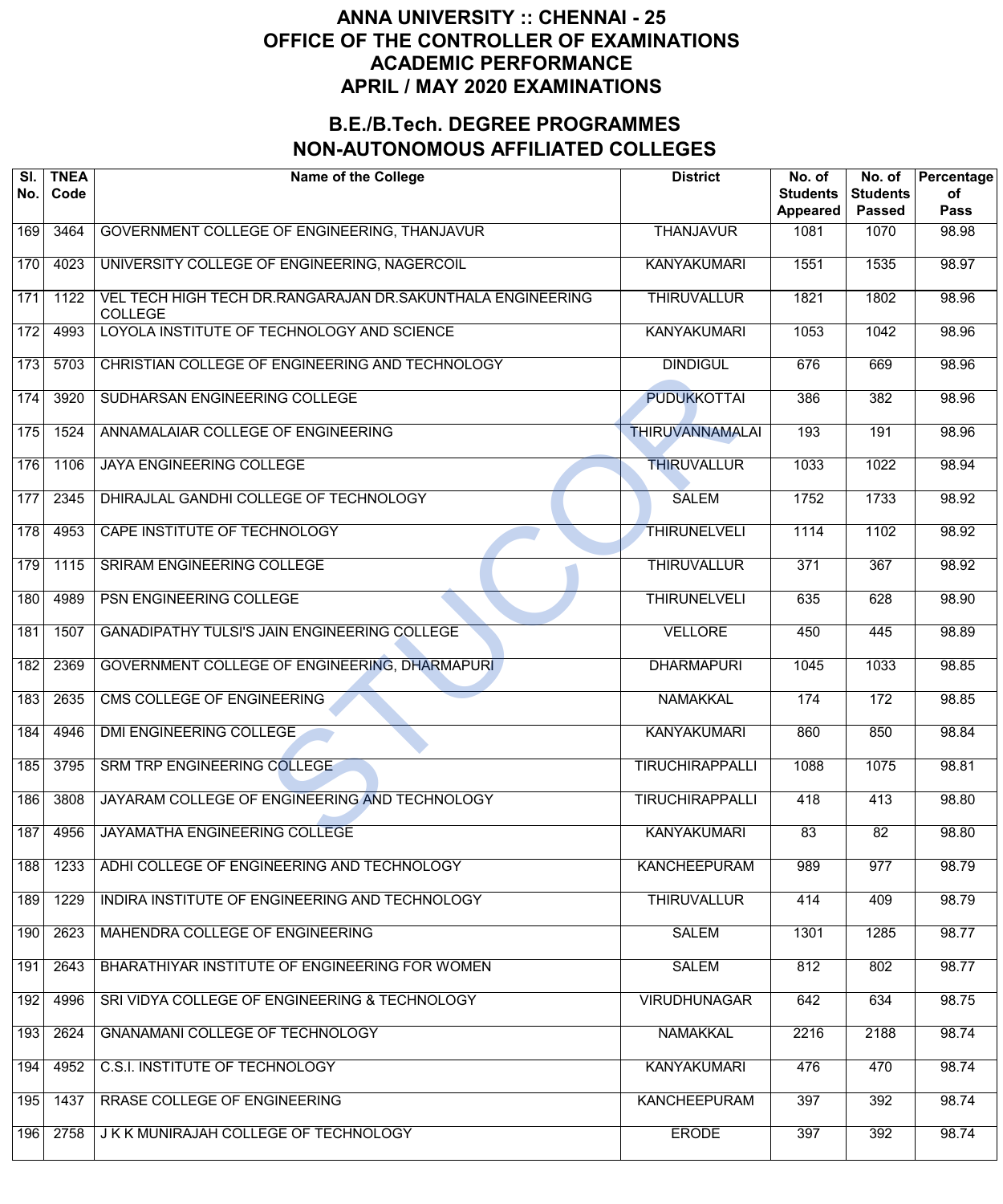| SI.<br>No. | <b>TNEA</b><br>Code | <b>Name of the College</b>                                                   | <b>District</b>        | No. of<br><b>Students</b><br><b>Appeared</b> | No. of<br><b>Students</b><br><b>Passed</b> | Percentage<br>of<br><b>Pass</b> |
|------------|---------------------|------------------------------------------------------------------------------|------------------------|----------------------------------------------|--------------------------------------------|---------------------------------|
| 169        | 3464                | GOVERNMENT COLLEGE OF ENGINEERING, THANJAVUR                                 | <b>THANJAVUR</b>       | 1081                                         | 1070                                       | 98.98                           |
| 170        | 4023                | UNIVERSITY COLLEGE OF ENGINEERING, NAGERCOIL                                 | <b>KANYAKUMARI</b>     | 1551                                         | 1535                                       | 98.97                           |
| 171        | 1122                | VEL TECH HIGH TECH DR.RANGARAJAN DR.SAKUNTHALA ENGINEERING<br><b>COLLEGE</b> | <b>THIRUVALLUR</b>     | 1821                                         | 1802                                       | 98.96                           |
| 172        | 4993                | LOYOLA INSTITUTE OF TECHNOLOGY AND SCIENCE                                   | <b>KANYAKUMARI</b>     | 1053                                         | 1042                                       | 98.96                           |
| 173        | 5703                | CHRISTIAN COLLEGE OF ENGINEERING AND TECHNOLOGY                              | <b>DINDIGUL</b>        | 676                                          | 669                                        | 98.96                           |
| 174        | 3920                | SUDHARSAN ENGINEERING COLLEGE                                                | <b>PUDUKKOTTAI</b>     | 386                                          | 382                                        | 98.96                           |
| 175        | 1524                | ANNAMALAIAR COLLEGE OF ENGINEERING                                           | <b>THIRUVANNAMALAI</b> | 193                                          | 191                                        | 98.96                           |
| 176        | 1106                | <b>JAYA ENGINEERING COLLEGE</b>                                              | <b>THIRUVALLUR</b>     | 1033                                         | 1022                                       | 98.94                           |
| 177        | 2345                | DHIRAJLAL GANDHI COLLEGE OF TECHNOLOGY                                       | <b>SALEM</b>           | 1752                                         | 1733                                       | 98.92                           |
| 178        | 4953                | CAPE INSTITUTE OF TECHNOLOGY                                                 | <b>THIRUNELVELI</b>    | 1114                                         | 1102                                       | 98.92                           |
| 179        | 1115                | SRIRAM ENGINEERING COLLEGE                                                   | <b>THIRUVALLUR</b>     | 371                                          | 367                                        | 98.92                           |
| 180        | 4989                | PSN ENGINEERING COLLEGE                                                      | <b>THIRUNELVELI</b>    | 635                                          | 628                                        | 98.90                           |
| 181        | 1507                | GANADIPATHY TULSI'S JAIN ENGINEERING COLLEGE                                 | <b>VELLORE</b>         | 450                                          | 445                                        | 98.89                           |
| 182        | 2369                | GOVERNMENT COLLEGE OF ENGINEERING, DHARMAPURI                                | <b>DHARMAPURI</b>      | 1045                                         | 1033                                       | 98.85                           |
| 183        | 2635                | CMS COLLEGE OF ENGINEERING                                                   | <b>NAMAKKAL</b>        | 174                                          | 172                                        | 98.85                           |
| 184        | 4946                | DMI ENGINEERING COLLEGE                                                      | <b>KANYAKUMARI</b>     | 860                                          | 850                                        | 98.84                           |
| 185        | 3795                | SRM TRP ENGINEERING COLLEGE                                                  | <b>TIRUCHIRAPPALLI</b> | 1088                                         | 1075                                       | 98.81                           |
| 186        | 3808                | JAYARAM COLLEGE OF ENGINEERING AND TECHNOLOGY                                | <b>TIRUCHIRAPPALLI</b> | 418                                          | 413                                        | 98.80                           |
| 187        | 4956                | JAYAMATHA ENGINEERING COLLEGE                                                | <b>KANYAKUMARI</b>     | 83                                           | 82                                         | 98.80                           |
| 188        | 1233                | ADHI COLLEGE OF ENGINEERING AND TECHNOLOGY                                   | <b>KANCHEEPURAM</b>    | 989                                          | 977                                        | 98.79                           |
| 189        | 1229                | INDIRA INSTITUTE OF ENGINEERING AND TECHNOLOGY                               | <b>THIRUVALLUR</b>     | 414                                          | 409                                        | 98.79                           |
| 190        | 2623                | MAHENDRA COLLEGE OF ENGINEERING                                              | <b>SALEM</b>           | 1301                                         | 1285                                       | 98.77                           |
| 191        | 2643                | BHARATHIYAR INSTITUTE OF ENGINEERING FOR WOMEN                               | <b>SALEM</b>           | 812                                          | 802                                        | 98.77                           |
| 192        | 4996                | SRI VIDYA COLLEGE OF ENGINEERING & TECHNOLOGY                                | <b>VIRUDHUNAGAR</b>    | 642                                          | 634                                        | 98.75                           |
| 193        | 2624                | GNANAMANI COLLEGE OF TECHNOLOGY                                              | <b>NAMAKKAL</b>        | 2216                                         | 2188                                       | 98.74                           |
| 194        | 4952                | <b>C.S.I. INSTITUTE OF TECHNOLOGY</b>                                        | <b>KANYAKUMARI</b>     | 476                                          | 470                                        | 98.74                           |
| 195        | 1437                | RRASE COLLEGE OF ENGINEERING                                                 | <b>KANCHEEPURAM</b>    | 397                                          | 392                                        | 98.74                           |
| 196        | 2758                | J K K MUNIRAJAH COLLEGE OF TECHNOLOGY                                        | <b>ERODE</b>           | 397                                          | 392                                        | 98.74                           |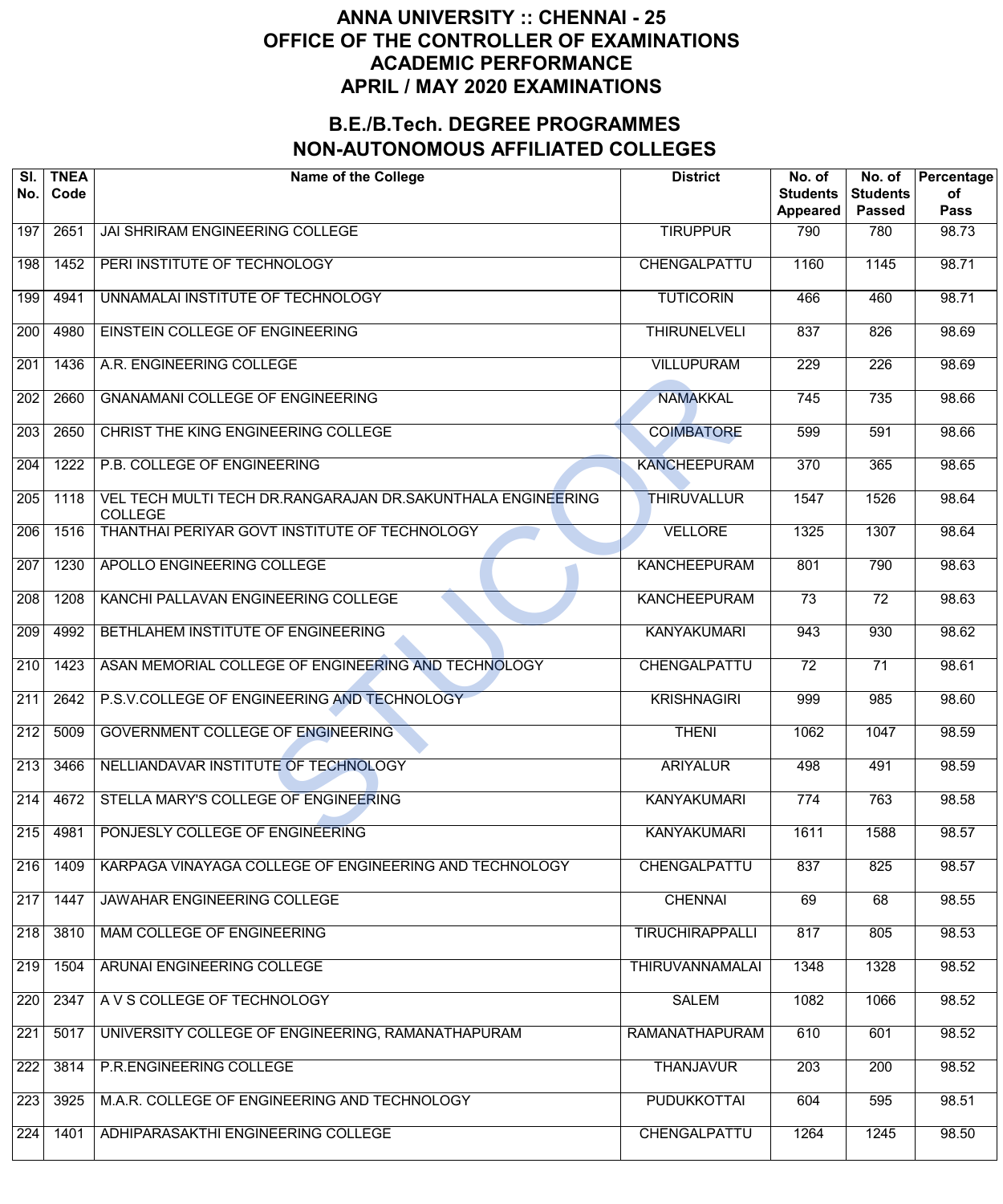| SI.<br>No.       | <b>TNEA</b><br>Code | <b>Name of the College</b>                                                    | <b>District</b>        | No. of<br><b>Students</b><br><b>Appeared</b> | No. of<br><b>Students</b><br><b>Passed</b> | Percentage<br>of<br><b>Pass</b> |
|------------------|---------------------|-------------------------------------------------------------------------------|------------------------|----------------------------------------------|--------------------------------------------|---------------------------------|
| 197              | 2651                | JAI SHRIRAM ENGINEERING COLLEGE                                               | <b>TIRUPPUR</b>        | 790                                          | 780                                        | 98.73                           |
| 198              | 1452                | PERI INSTITUTE OF TECHNOLOGY                                                  | CHENGALPATTU           | 1160                                         | 1145                                       | 98.71                           |
| 199              | 4941                | UNNAMALAI INSTITUTE OF TECHNOLOGY                                             | <b>TUTICORIN</b>       | 466                                          | 460                                        | 98.71                           |
| 200              | 4980                | EINSTEIN COLLEGE OF ENGINEERING                                               | <b>THIRUNELVELI</b>    | 837                                          | 826                                        | 98.69                           |
| 201              | 1436                | A.R. ENGINEERING COLLEGE                                                      | <b>VILLUPURAM</b>      | $\overline{229}$                             | $\overline{226}$                           | 98.69                           |
| $\overline{202}$ | 2660                | <b>GNANAMANI COLLEGE OF ENGINEERING</b>                                       | <b>NAMAKKAL</b>        | 745                                          | 735                                        | 98.66                           |
| $\overline{203}$ | 2650                | CHRIST THE KING ENGINEERING COLLEGE                                           | <b>COIMBATORE</b>      | 599                                          | 591                                        | 98.66                           |
| 204              | 1222                | P.B. COLLEGE OF ENGINEERING                                                   | <b>KANCHEEPURAM</b>    | $\overline{370}$                             | 365                                        | 98.65                           |
| 205              | 1118                | VEL TECH MULTI TECH DR.RANGARAJAN DR.SAKUNTHALA ENGINEERING<br><b>COLLEGE</b> | <b>THIRUVALLUR</b>     | 1547                                         | 1526                                       | 98.64                           |
| 206              | 1516                | THANTHAI PERIYAR GOVT INSTITUTE OF TECHNOLOGY                                 | <b>VELLORE</b>         | 1325                                         | 1307                                       | 98.64                           |
| 207              | 1230                | APOLLO ENGINEERING COLLEGE                                                    | <b>KANCHEEPURAM</b>    | 801                                          | 790                                        | 98.63                           |
| $\overline{208}$ | 1208                | KANCHI PALLAVAN ENGINEERING COLLEGE                                           | <b>KANCHEEPURAM</b>    | $\overline{73}$                              | $\overline{72}$                            | 98.63                           |
| $\overline{209}$ | 4992                | BETHLAHEM INSTITUTE OF ENGINEERING                                            | <b>KANYAKUMARI</b>     | 943                                          | 930                                        | 98.62                           |
| 210              | 1423                | ASAN MEMORIAL COLLEGE OF ENGINEERING AND TECHNOLOGY                           | CHENGALPATTU           | $\overline{72}$                              | $\overline{71}$                            | 98.61                           |
| 211              | 2642                | P.S.V.COLLEGE OF ENGINEERING AND TECHNOLOGY                                   | <b>KRISHNAGIRI</b>     | 999                                          | 985                                        | 98.60                           |
| 212              | 5009                | <b>GOVERNMENT COLLEGE OF ENGINEERING</b>                                      | <b>THENI</b>           | 1062                                         | 1047                                       | 98.59                           |
| 213              | 3466                | NELLIANDAVAR INSTITUTE OF TECHNOLOGY                                          | <b>ARIYALUR</b>        | 498                                          | 491                                        | 98.59                           |
| $\overline{214}$ | 4672                | STELLA MARY'S COLLEGE OF ENGINEERING                                          | <b>KANYAKUMARI</b>     | 774                                          | 763                                        | 98.58                           |
| 215              | 4981                | PONJESLY COLLEGE OF ENGINEERING                                               | <b>KANYAKUMARI</b>     | 1611                                         | 1588                                       | 98.57                           |
| 216              | 1409                | KARPAGA VINAYAGA COLLEGE OF ENGINEERING AND TECHNOLOGY                        | CHENGALPATTU           | 837                                          | 825                                        | 98.57                           |
| 217              | 1447                | JAWAHAR ENGINEERING COLLEGE                                                   | <b>CHENNAI</b>         | 69                                           | 68                                         | 98.55                           |
| 218              | 3810                | <b>MAM COLLEGE OF ENGINEERING</b>                                             | <b>TIRUCHIRAPPALLI</b> | 817                                          | 805                                        | 98.53                           |
| 219              | 1504                | ARUNAI ENGINEERING COLLEGE                                                    | <b>THIRUVANNAMALAI</b> | 1348                                         | 1328                                       | 98.52                           |
| 220              | 2347                | A V S COLLEGE OF TECHNOLOGY                                                   | <b>SALEM</b>           | 1082                                         | 1066                                       | 98.52                           |
| 221              | 5017                | UNIVERSITY COLLEGE OF ENGINEERING, RAMANATHAPURAM                             | <b>RAMANATHAPURAM</b>  | 610                                          | 601                                        | 98.52                           |
| 222              | 3814                | P.R.ENGINEERING COLLEGE                                                       | <b>THANJAVUR</b>       | 203                                          | 200                                        | 98.52                           |
| 223              | 3925                | M.A.R. COLLEGE OF ENGINEERING AND TECHNOLOGY                                  | <b>PUDUKKOTTAI</b>     | 604                                          | 595                                        | 98.51                           |
| 224              | 1401                | ADHIPARASAKTHI ENGINEERING COLLEGE                                            | CHENGALPATTU           | 1264                                         | 1245                                       | 98.50                           |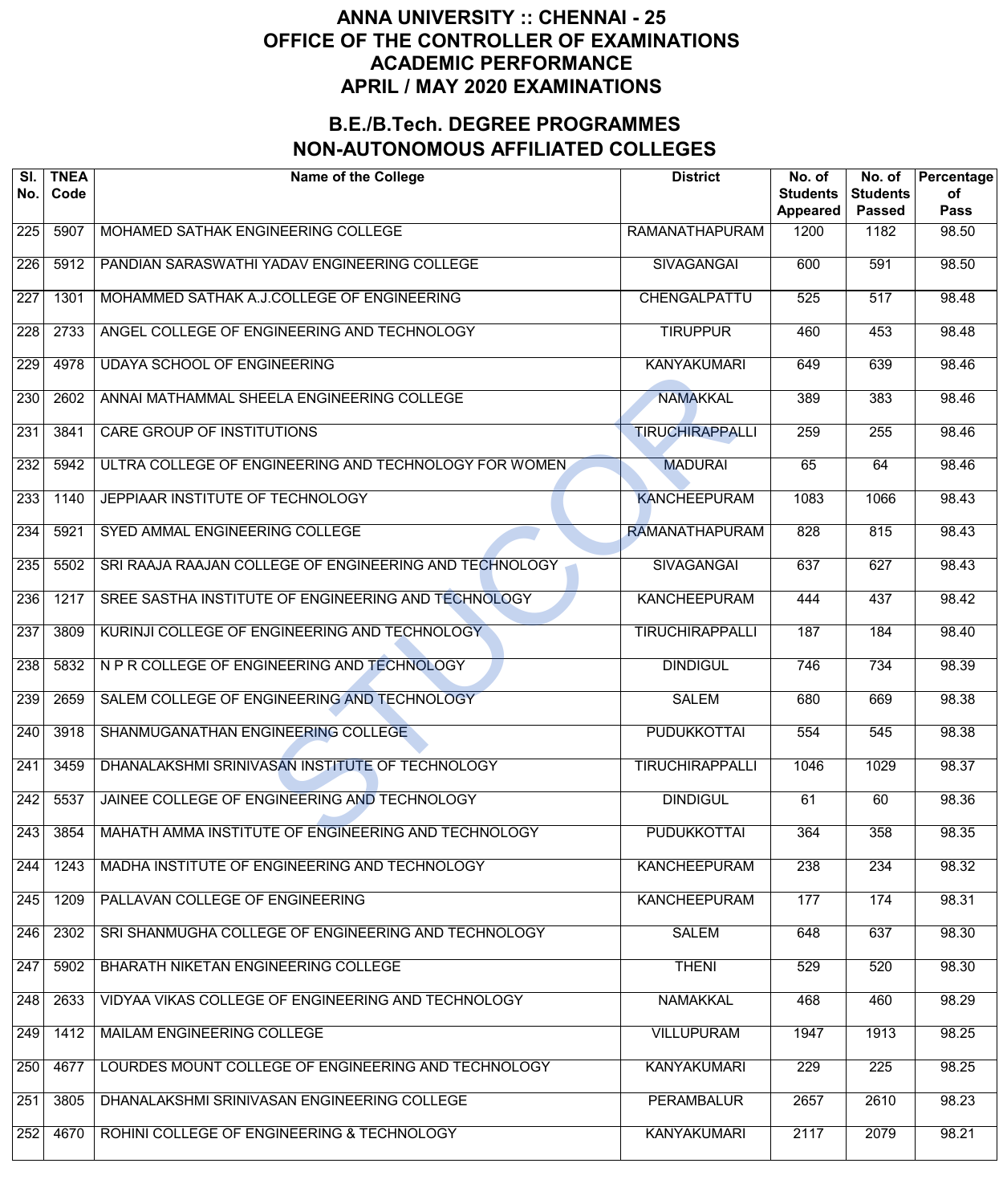| SI.<br>No.       | <b>TNEA</b><br>Code | <b>Name of the College</b>                             | <b>District</b>        | No. of<br><b>Students</b><br>Appeared | No. of<br><b>Students</b><br><b>Passed</b> | Percentage<br>of<br><b>Pass</b> |
|------------------|---------------------|--------------------------------------------------------|------------------------|---------------------------------------|--------------------------------------------|---------------------------------|
| 225              | 5907                | MOHAMED SATHAK ENGINEERING COLLEGE                     | <b>RAMANATHAPURAM</b>  | 1200                                  | 1182                                       | 98.50                           |
| 226              | 5912                | PANDIAN SARASWATHI YADAV ENGINEERING COLLEGE           | <b>SIVAGANGAI</b>      | 600                                   | 591                                        | 98.50                           |
| 227              | 1301                | MOHAMMED SATHAK A.J.COLLEGE OF ENGINEERING             | CHENGALPATTU           | 525                                   | 517                                        | 98.48                           |
| $\overline{228}$ | 2733                | ANGEL COLLEGE OF ENGINEERING AND TECHNOLOGY            | <b>TIRUPPUR</b>        | 460                                   | 453                                        | 98.48                           |
| 229              | 4978                | UDAYA SCHOOL OF ENGINEERING                            | <b>KANYAKUMARI</b>     | 649                                   | 639                                        | 98.46                           |
| 230              | 2602                | ANNAI MATHAMMAL SHEELA ENGINEERING COLLEGE             | <b>NAMAKKAL</b>        | 389                                   | 383                                        | 98.46                           |
| 231              | 3841                | <b>CARE GROUP OF INSTITUTIONS</b>                      | <b>TIRUCHIRAPPALLI</b> | 259                                   | 255                                        | 98.46                           |
| 232              | 5942                | ULTRA COLLEGE OF ENGINEERING AND TECHNOLOGY FOR WOMEN  | <b>MADURAI</b>         | 65                                    | 64                                         | 98.46                           |
| 233              | 1140                | JEPPIAAR INSTITUTE OF TECHNOLOGY                       | <b>KANCHEEPURAM</b>    | 1083                                  | 1066                                       | 98.43                           |
| 234              | 5921                | SYED AMMAL ENGINEERING COLLEGE                         | <b>RAMANATHAPURAM</b>  | 828                                   | 815                                        | 98.43                           |
| 235              | 5502                | SRI RAAJA RAAJAN COLLEGE OF ENGINEERING AND TECHNOLOGY | <b>SIVAGANGAI</b>      | 637                                   | 627                                        | 98.43                           |
| 236              | 1217                | SREE SASTHA INSTITUTE OF ENGINEERING AND TECHNOLOGY    | <b>KANCHEEPURAM</b>    | 444                                   | 437                                        | 98.42                           |
| 237              | 3809                | KURINJI COLLEGE OF ENGINEERING AND TECHNOLOGY          | <b>TIRUCHIRAPPALLI</b> | 187                                   | 184                                        | 98.40                           |
| 238              | 5832                | N P R COLLEGE OF ENGINEERING AND TECHNOLOGY            | <b>DINDIGUL</b>        | 746                                   | 734                                        | 98.39                           |
| 239              | 2659                | SALEM COLLEGE OF ENGINEERING AND TECHNOLOGY            | <b>SALEM</b>           | 680                                   | 669                                        | 98.38                           |
| 240              | 3918                | SHANMUGANATHAN ENGINEERING COLLEGE                     | <b>PUDUKKOTTAI</b>     | 554                                   | 545                                        | 98.38                           |
| 241              | 3459                | DHANALAKSHMI SRINIVASAN INSTITUTE OF TECHNOLOGY        | <b>TIRUCHIRAPPALLI</b> | 1046                                  | $\frac{1}{1029}$                           | 98.37                           |
| 242              | 5537                | JAINEE COLLEGE OF ENGINEERING AND TECHNOLOGY           | <b>DINDIGUL</b>        | 61                                    | 60                                         | 98.36                           |
| 243              | 3854                | MAHATH AMMA INSTITUTE OF ENGINEERING AND TECHNOLOGY    | <b>PUDUKKOTTAI</b>     | 364                                   | 358                                        | 98.35                           |
| 244              | 1243                | MADHA INSTITUTE OF ENGINEERING AND TECHNOLOGY          | <b>KANCHEEPURAM</b>    | 238                                   | 234                                        | 98.32                           |
| 245              | 1209                | PALLAVAN COLLEGE OF ENGINEERING                        | <b>KANCHEEPURAM</b>    | 177                                   | 174                                        | 98.31                           |
| 246              | 2302                | SRI SHANMUGHA COLLEGE OF ENGINEERING AND TECHNOLOGY    | <b>SALEM</b>           | 648                                   | 637                                        | 98.30                           |
| 247              | 5902                | BHARATH NIKETAN ENGINEERING COLLEGE                    | <b>THENI</b>           | 529                                   | 520                                        | 98.30                           |
| 248              | 2633                | VIDYAA VIKAS COLLEGE OF ENGINEERING AND TECHNOLOGY     | <b>NAMAKKAL</b>        | 468                                   | 460                                        | 98.29                           |
| 249              | 1412                | MAILAM ENGINEERING COLLEGE                             | <b>VILLUPURAM</b>      | 1947                                  | 1913                                       | 98.25                           |
| 250              | 4677                | LOURDES MOUNT COLLEGE OF ENGINEERING AND TECHNOLOGY    | <b>KANYAKUMARI</b>     | 229                                   | $\overline{225}$                           | 98.25                           |
| 251              | 3805                | DHANALAKSHMI SRINIVASAN ENGINEERING COLLEGE            | PERAMBALUR             | 2657                                  | 2610                                       | 98.23                           |
| 252              | 4670                | ROHINI COLLEGE OF ENGINEERING & TECHNOLOGY             | <b>KANYAKUMARI</b>     | 2117                                  | 2079                                       | 98.21                           |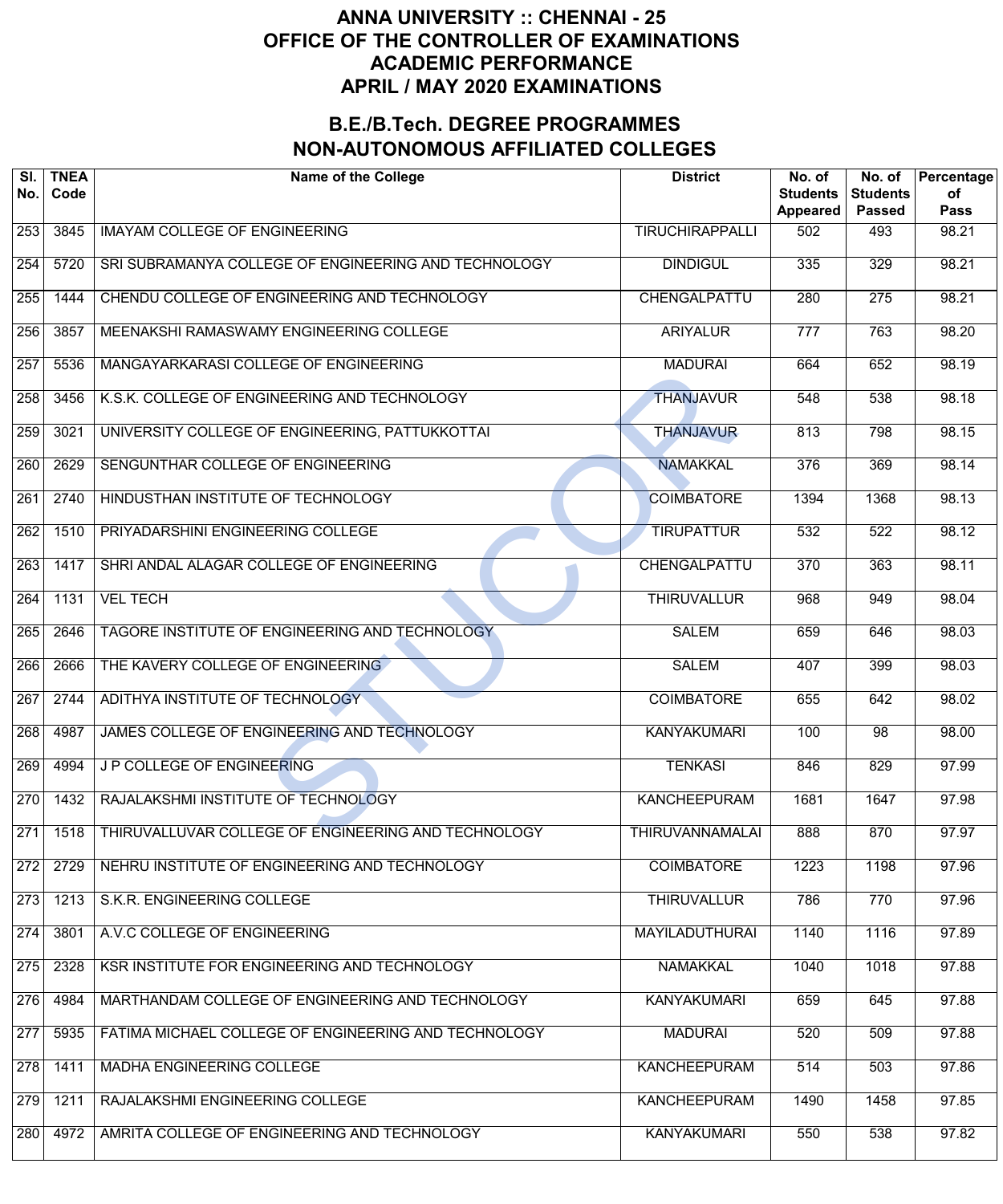| SI.<br>No.       | <b>TNEA</b><br>Code | <b>Name of the College</b>                           | <b>District</b>        | No. of<br><b>Students</b><br><b>Appeared</b> | No. of<br><b>Students</b><br><b>Passed</b> | Percentage<br>of<br><b>Pass</b> |
|------------------|---------------------|------------------------------------------------------|------------------------|----------------------------------------------|--------------------------------------------|---------------------------------|
| 253              | 3845                | <b>IMAYAM COLLEGE OF ENGINEERING</b>                 | <b>TIRUCHIRAPPALLI</b> | 502                                          | 493                                        | 98.21                           |
| 254              | 5720                | SRI SUBRAMANYA COLLEGE OF ENGINEERING AND TECHNOLOGY | <b>DINDIGUL</b>        | 335                                          | 329                                        | 98.21                           |
| 255              | 1444                | CHENDU COLLEGE OF ENGINEERING AND TECHNOLOGY         | CHENGALPATTU           | 280                                          | 275                                        | 98.21                           |
| 256              | 3857                | MEENAKSHI RAMASWAMY ENGINEERING COLLEGE              | <b>ARIYALUR</b>        | $\overline{777}$                             | 763                                        | 98.20                           |
| 257              | 5536                | MANGAYARKARASI COLLEGE OF ENGINEERING                | <b>MADURAI</b>         | 664                                          | 652                                        | 98.19                           |
| 258              | 3456                | K.S.K. COLLEGE OF ENGINEERING AND TECHNOLOGY         | <b>THANJAVUR</b>       | 548                                          | 538                                        | 98.18                           |
| 259              | 3021                | UNIVERSITY COLLEGE OF ENGINEERING, PATTUKKOTTAI      | <b>THANJAVUR</b>       | 813                                          | 798                                        | 98.15                           |
| 260              | 2629                | SENGUNTHAR COLLEGE OF ENGINEERING                    | <b>NAMAKKAL</b>        | 376                                          | 369                                        | 98.14                           |
| 261              | 2740                | HINDUSTHAN INSTITUTE OF TECHNOLOGY                   | <b>COIMBATORE</b>      | 1394                                         | 1368                                       | 98.13                           |
| $\overline{262}$ | 1510                | PRIYADARSHINI ENGINEERING COLLEGE                    | <b>TIRUPATTUR</b>      | 532                                          | 522                                        | 98.12                           |
| 263              | 1417                | SHRI ANDAL ALAGAR COLLEGE OF ENGINEERING             | CHENGALPATTU           | $\overline{370}$                             | 363                                        | 98.11                           |
| 264              | 1131                | <b>VEL TECH</b>                                      | <b>THIRUVALLUR</b>     | 968                                          | 949                                        | 98.04                           |
| 265              | 2646                | TAGORE INSTITUTE OF ENGINEERING AND TECHNOLOGY       | <b>SALEM</b>           | 659                                          | 646                                        | 98.03                           |
| 266              | 2666                | THE KAVERY COLLEGE OF ENGINEERING                    | <b>SALEM</b>           | 407                                          | 399                                        | 98.03                           |
| 267              | 2744                | ADITHYA INSTITUTE OF TECHNOLOGY                      | <b>COIMBATORE</b>      | 655                                          | 642                                        | 98.02                           |
| 268              | 4987                | JAMES COLLEGE OF ENGINEERING AND TECHNOLOGY          | <b>KANYAKUMARI</b>     | 100                                          | $\overline{98}$                            | 98.00                           |
| 269              | 4994                | J P COLLEGE OF ENGINEERING                           | <b>TENKASI</b>         | 846                                          | 829                                        | 97.99                           |
| 270              | 1432                | RAJALAKSHMI INSTITUTE OF TECHNOLOGY                  | <b>KANCHEEPURAM</b>    | 1681                                         | 1647                                       | 97.98                           |
| 271              | 1518                | THIRUVALLUVAR COLLEGE OF ENGINEERING AND TECHNOLOGY  | <b>THIRUVANNAMALAI</b> | 888                                          | 870                                        | 97.97                           |
| 272              | 2729                | NEHRU INSTITUTE OF ENGINEERING AND TECHNOLOGY        | <b>COIMBATORE</b>      | 1223                                         | 1198                                       | 97.96                           |
| 273              | 1213                | S.K.R. ENGINEERING COLLEGE                           | <b>THIRUVALLUR</b>     | 786                                          | 770                                        | 97.96                           |
| 274              | 3801                | A.V.C COLLEGE OF ENGINEERING                         | <b>MAYILADUTHURAI</b>  | 1140                                         | 1116                                       | 97.89                           |
| 275              | 2328                | KSR INSTITUTE FOR ENGINEERING AND TECHNOLOGY         | <b>NAMAKKAL</b>        | 1040                                         | 1018                                       | 97.88                           |
| 276              | 4984                | MARTHANDAM COLLEGE OF ENGINEERING AND TECHNOLOGY     | <b>KANYAKUMARI</b>     | 659                                          | 645                                        | 97.88                           |
| 277              | 5935                | FATIMA MICHAEL COLLEGE OF ENGINEERING AND TECHNOLOGY | <b>MADURAI</b>         | 520                                          | 509                                        | 97.88                           |
| 278              | 1411                | MADHA ENGINEERING COLLEGE                            | <b>KANCHEEPURAM</b>    | 514                                          | 503                                        | 97.86                           |
| 279              | 1211                | RAJALAKSHMI ENGINEERING COLLEGE                      | <b>KANCHEEPURAM</b>    | 1490                                         | 1458                                       | 97.85                           |
| 280              | 4972                | AMRITA COLLEGE OF ENGINEERING AND TECHNOLOGY         | <b>KANYAKUMARI</b>     | 550                                          | 538                                        | 97.82                           |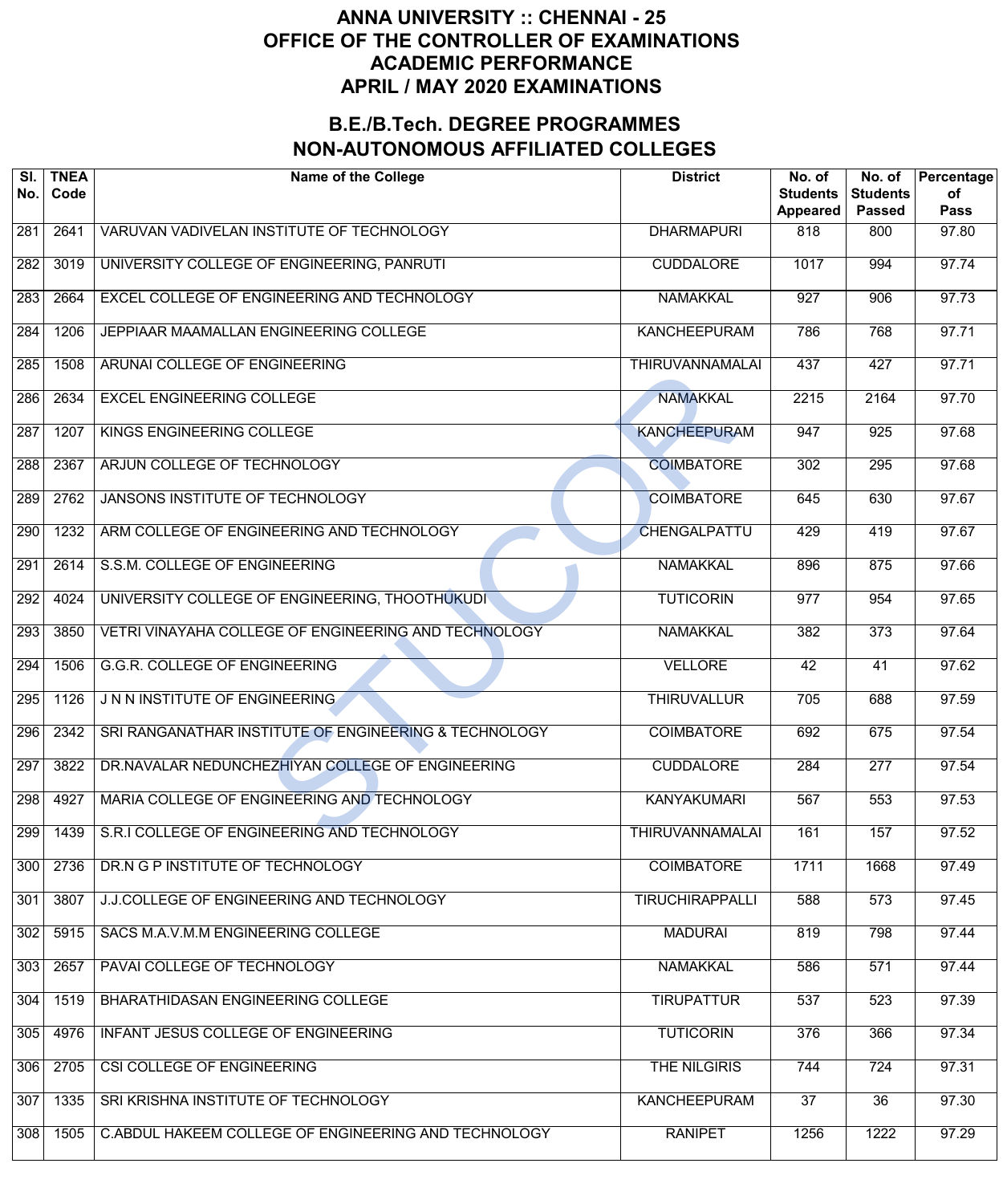| SI.<br>No. | <b>TNEA</b><br>Code | <b>Name of the College</b>                            | <b>District</b>        | No. of<br><b>Students</b><br><b>Appeared</b> | No. of<br><b>Students</b><br><b>Passed</b> | Percentage<br>of<br><b>Pass</b> |
|------------|---------------------|-------------------------------------------------------|------------------------|----------------------------------------------|--------------------------------------------|---------------------------------|
| 281        | 2641                | VARUVAN VADIVELAN INSTITUTE OF TECHNOLOGY             | <b>DHARMAPURI</b>      | 818                                          | 800                                        | 97.80                           |
| 282        | 3019                | UNIVERSITY COLLEGE OF ENGINEERING, PANRUTI            | <b>CUDDALORE</b>       | 1017                                         | 994                                        | 97.74                           |
| 283        | 2664                | <b>EXCEL COLLEGE OF ENGINEERING AND TECHNOLOGY</b>    | <b>NAMAKKAL</b>        | $\overline{927}$                             | 906                                        | 97.73                           |
| 284        | 1206                | JEPPIAAR MAAMALLAN ENGINEERING COLLEGE                | <b>KANCHEEPURAM</b>    | 786                                          | 768                                        | 97.71                           |
| 285        | 1508                | ARUNAI COLLEGE OF ENGINEERING                         | <b>THIRUVANNAMALAI</b> | 437                                          | 427                                        | 97.71                           |
| 286        | 2634                | <b>EXCEL ENGINEERING COLLEGE</b>                      | <b>NAMAKKAL</b>        | 2215                                         | 2164                                       | 97.70                           |
| 287        | 1207                | KINGS ENGINEERING COLLEGE                             | <b>KANCHEEPURAM</b>    | 947                                          | $\overline{925}$                           | 97.68                           |
| 288        | 2367                | ARJUN COLLEGE OF TECHNOLOGY                           | <b>COIMBATORE</b>      | 302                                          | 295                                        | 97.68                           |
| 289        | 2762                | <b>JANSONS INSTITUTE OF TECHNOLOGY</b>                | <b>COIMBATORE</b>      | 645                                          | 630                                        | 97.67                           |
| 290        | 1232                | ARM COLLEGE OF ENGINEERING AND TECHNOLOGY             | <b>CHENGALPATTU</b>    | 429                                          | 419                                        | 97.67                           |
| 291        | 2614                | S.S.M. COLLEGE OF ENGINEERING                         | <b>NAMAKKAL</b>        | 896                                          | 875                                        | 97.66                           |
| 292        | 4024                | UNIVERSITY COLLEGE OF ENGINEERING, THOOTHUKUDI        | <b>TUTICORIN</b>       | $\overline{977}$                             | 954                                        | 97.65                           |
| 293        | 3850                | VETRI VINAYAHA COLLEGE OF ENGINEERING AND TECHNOLOGY  | <b>NAMAKKAL</b>        | 382                                          | $\overline{373}$                           | 97.64                           |
| 294        | 1506                | <b>G.G.R. COLLEGE OF ENGINEERING</b>                  | <b>VELLORE</b>         | 42                                           | $\overline{41}$                            | 97.62                           |
| 295        | 1126                | J N N INSTITUTE OF ENGINEERING                        | <b>THIRUVALLUR</b>     | 705                                          | 688                                        | 97.59                           |
| 296        | 2342                | SRI RANGANATHAR INSTITUTE OF ENGINEERING & TECHNOLOGY | <b>COIMBATORE</b>      | 692                                          | 675                                        | 97.54                           |
| 297        | 3822                | DR.NAVALAR NEDUNCHEZHIYAN COLLEGE OF ENGINEERING      | <b>CUDDALORE</b>       | 284                                          | 277                                        | 97.54                           |
| 298        | 4927                | MARIA COLLEGE OF ENGINEERING AND TECHNOLOGY           | <b>KANYAKUMARI</b>     | 567                                          | 553                                        | 97.53                           |
| 299        | 1439                | S.R.I COLLEGE OF ENGINEERING AND TECHNOLOGY           | <b>THIRUVANNAMALAI</b> | 161                                          | 157                                        | 97.52                           |
| 300        | 2736                | DR.N G P INSTITUTE OF TECHNOLOGY                      | <b>COIMBATORE</b>      | 1711                                         | 1668                                       | 97.49                           |
| 301        | 3807                | J.J.COLLEGE OF ENGINEERING AND TECHNOLOGY             | <b>TIRUCHIRAPPALLI</b> | 588                                          | 573                                        | 97.45                           |
| 302        | 5915                | SACS M.A.V.M.M ENGINEERING COLLEGE                    | <b>MADURAI</b>         | 819                                          | 798                                        | 97.44                           |
| 303        | 2657                | PAVAI COLLEGE OF TECHNOLOGY                           | <b>NAMAKKAL</b>        | 586                                          | 571                                        | 97.44                           |
| 304        | 1519                | BHARATHIDASAN ENGINEERING COLLEGE                     | <b>TIRUPATTUR</b>      | 537                                          | 523                                        | 97.39                           |
| 305        | 4976                | INFANT JESUS COLLEGE OF ENGINEERING                   | <b>TUTICORIN</b>       | 376                                          | 366                                        | 97.34                           |
| 306        | 2705                | CSI COLLEGE OF ENGINEERING                            | <b>THE NILGIRIS</b>    | 744                                          | 724                                        | 97.31                           |
| 307        | 1335                | SRI KRISHNA INSTITUTE OF TECHNOLOGY                   | <b>KANCHEEPURAM</b>    | $\overline{37}$                              | $\overline{36}$                            | 97.30                           |
| 308        | 1505                | C.ABDUL HAKEEM COLLEGE OF ENGINEERING AND TECHNOLOGY  | <b>RANIPET</b>         | 1256                                         | 1222                                       | 97.29                           |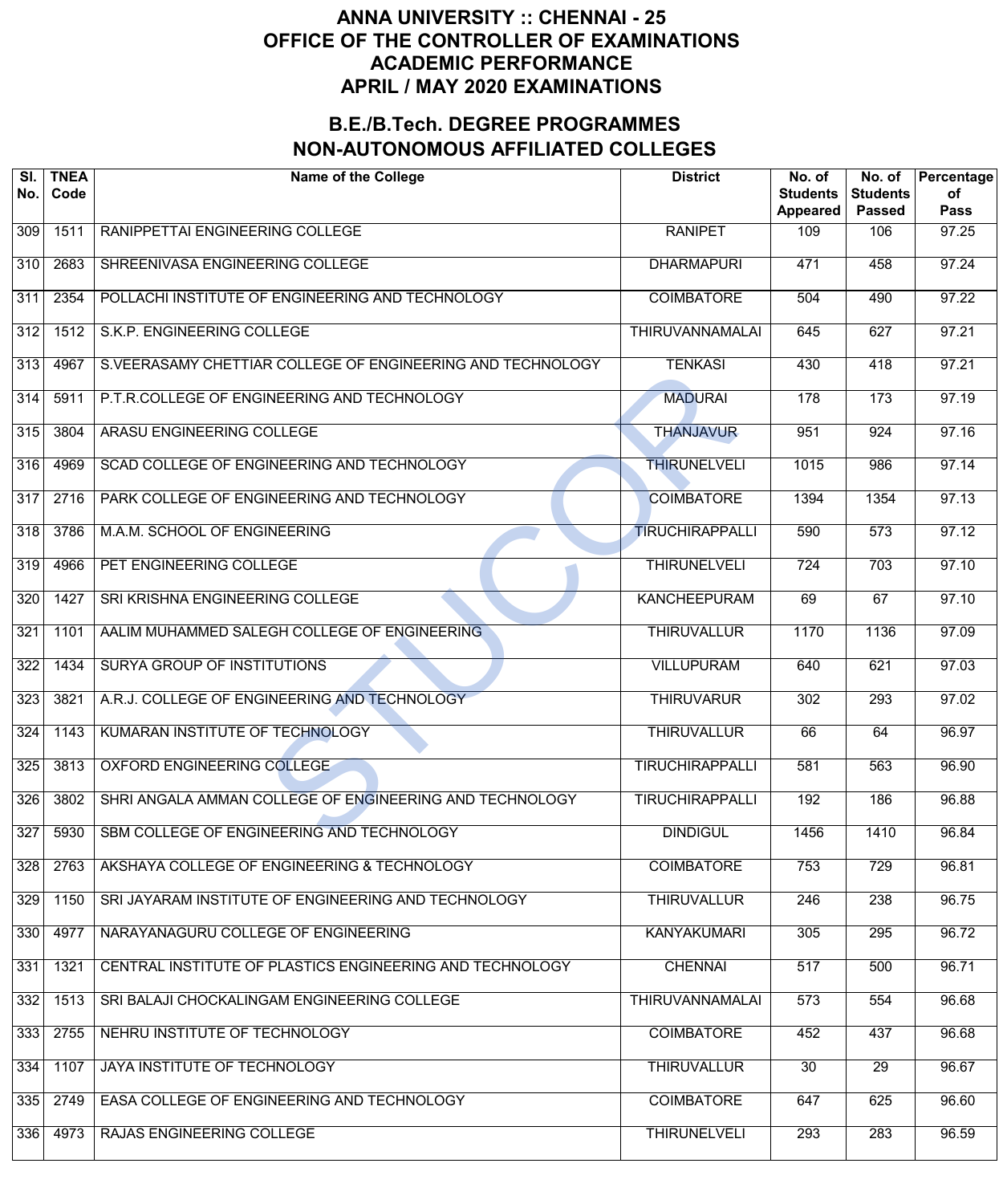| SI.<br>No. | <b>TNEA</b><br>Code | <b>Name of the College</b>                                 | <b>District</b>        | No. of<br><b>Students</b><br><b>Appeared</b> | No. of<br><b>Students</b><br><b>Passed</b> | Percentage<br>of<br><b>Pass</b> |
|------------|---------------------|------------------------------------------------------------|------------------------|----------------------------------------------|--------------------------------------------|---------------------------------|
| 309        | 1511                | RANIPPETTAI ENGINEERING COLLEGE                            | <b>RANIPET</b>         | 109                                          | 106                                        | 97.25                           |
| 310        | 2683                | SHREENIVASA ENGINEERING COLLEGE                            | <b>DHARMAPURI</b>      | 471                                          | 458                                        | 97.24                           |
| 311        | 2354                | POLLACHI INSTITUTE OF ENGINEERING AND TECHNOLOGY           | <b>COIMBATORE</b>      | 504                                          | 490                                        | 97.22                           |
| 312        | 1512                | S.K.P. ENGINEERING COLLEGE                                 | <b>THIRUVANNAMALAI</b> | 645                                          | 627                                        | 97.21                           |
| 313        | 4967                | S.VEERASAMY CHETTIAR COLLEGE OF ENGINEERING AND TECHNOLOGY | <b>TENKASI</b>         | 430                                          | 418                                        | 97.21                           |
| 314        | 5911                | P.T.R.COLLEGE OF ENGINEERING AND TECHNOLOGY                | <b>MADURAI</b>         | 178                                          | 173                                        | 97.19                           |
| 315        | 3804                | ARASU ENGINEERING COLLEGE                                  | <b>THANJAVUR</b>       | 951                                          | $\overline{924}$                           | 97.16                           |
| 316        | 4969                | SCAD COLLEGE OF ENGINEERING AND TECHNOLOGY                 | <b>THIRUNELVELI</b>    | 1015                                         | 986                                        | 97.14                           |
| 317        | 2716                | PARK COLLEGE OF ENGINEERING AND TECHNOLOGY                 | <b>COIMBATORE</b>      | 1394                                         | 1354                                       | 97.13                           |
| 318        | 3786                | M.A.M. SCHOOL OF ENGINEERING                               | <b>TIRUCHIRAPPALLI</b> | 590                                          | $\overline{573}$                           | 97.12                           |
| 319        | 4966                | PET ENGINEERING COLLEGE                                    | <b>THIRUNELVELI</b>    | $\overline{724}$                             | 703                                        | 97.10                           |
| 320        | 1427                | SRI KRISHNA ENGINEERING COLLEGE                            | <b>KANCHEEPURAM</b>    | 69                                           | 67                                         | 97.10                           |
| 321        | 1101                | AALIM MUHAMMED SALEGH COLLEGE OF ENGINEERING               | <b>THIRUVALLUR</b>     | 1170                                         | 1136                                       | 97.09                           |
| 322        | 1434                | <b>SURYA GROUP OF INSTITUTIONS</b>                         | <b>VILLUPURAM</b>      | 640                                          | 621                                        | 97.03                           |
| 323        | 3821                | A.R.J. COLLEGE OF ENGINEERING AND TECHNOLOGY               | <b>THIRUVARUR</b>      | 302                                          | 293                                        | 97.02                           |
| 324        | 1143                | KUMARAN INSTITUTE OF TECHNOLOGY                            | <b>THIRUVALLUR</b>     | 66                                           | 64                                         | 96.97                           |
| 325        | 3813                | OXFORD ENGINEERING COLLEGE                                 | <b>TIRUCHIRAPPALLI</b> | 581                                          | 563                                        | 96.90                           |
| 326        | 3802                | SHRI ANGALA AMMAN COLLEGE OF ENGINEERING AND TECHNOLOGY    | <b>TIRUCHIRAPPALLI</b> | 192                                          | 186                                        | 96.88                           |
| 327        | 5930                | SBM COLLEGE OF ENGINEERING AND TECHNOLOGY                  | <b>DINDIGUL</b>        | 1456                                         | 1410                                       | 96.84                           |
| 328        | 2763                | AKSHAYA COLLEGE OF ENGINEERING & TECHNOLOGY                | <b>COIMBATORE</b>      | 753                                          | 729                                        | 96.81                           |
| 329        | 1150                | SRI JAYARAM INSTITUTE OF ENGINEERING AND TECHNOLOGY        | <b>THIRUVALLUR</b>     | 246                                          | 238                                        | 96.75                           |
| 330        | 4977                | NARAYANAGURU COLLEGE OF ENGINEERING                        | <b>KANYAKUMARI</b>     | 305                                          | 295                                        | 96.72                           |
| 331        | 1321                | CENTRAL INSTITUTE OF PLASTICS ENGINEERING AND TECHNOLOGY   | <b>CHENNAI</b>         | 517                                          | 500                                        | 96.71                           |
| 332        | 1513                | SRI BALAJI CHOCKALINGAM ENGINEERING COLLEGE                | <b>THIRUVANNAMALAI</b> | 573                                          | 554                                        | 96.68                           |
| 333        | 2755                | NEHRU INSTITUTE OF TECHNOLOGY                              | <b>COIMBATORE</b>      | 452                                          | 437                                        | 96.68                           |
| 334        | 1107                | JAYA INSTITUTE OF TECHNOLOGY                               | <b>THIRUVALLUR</b>     | 30                                           | $\overline{29}$                            | 96.67                           |
| 335        | 2749                | EASA COLLEGE OF ENGINEERING AND TECHNOLOGY                 | <b>COIMBATORE</b>      | 647                                          | 625                                        | 96.60                           |
| 336        | 4973                | RAJAS ENGINEERING COLLEGE                                  | <b>THIRUNELVELI</b>    | 293                                          | 283                                        | 96.59                           |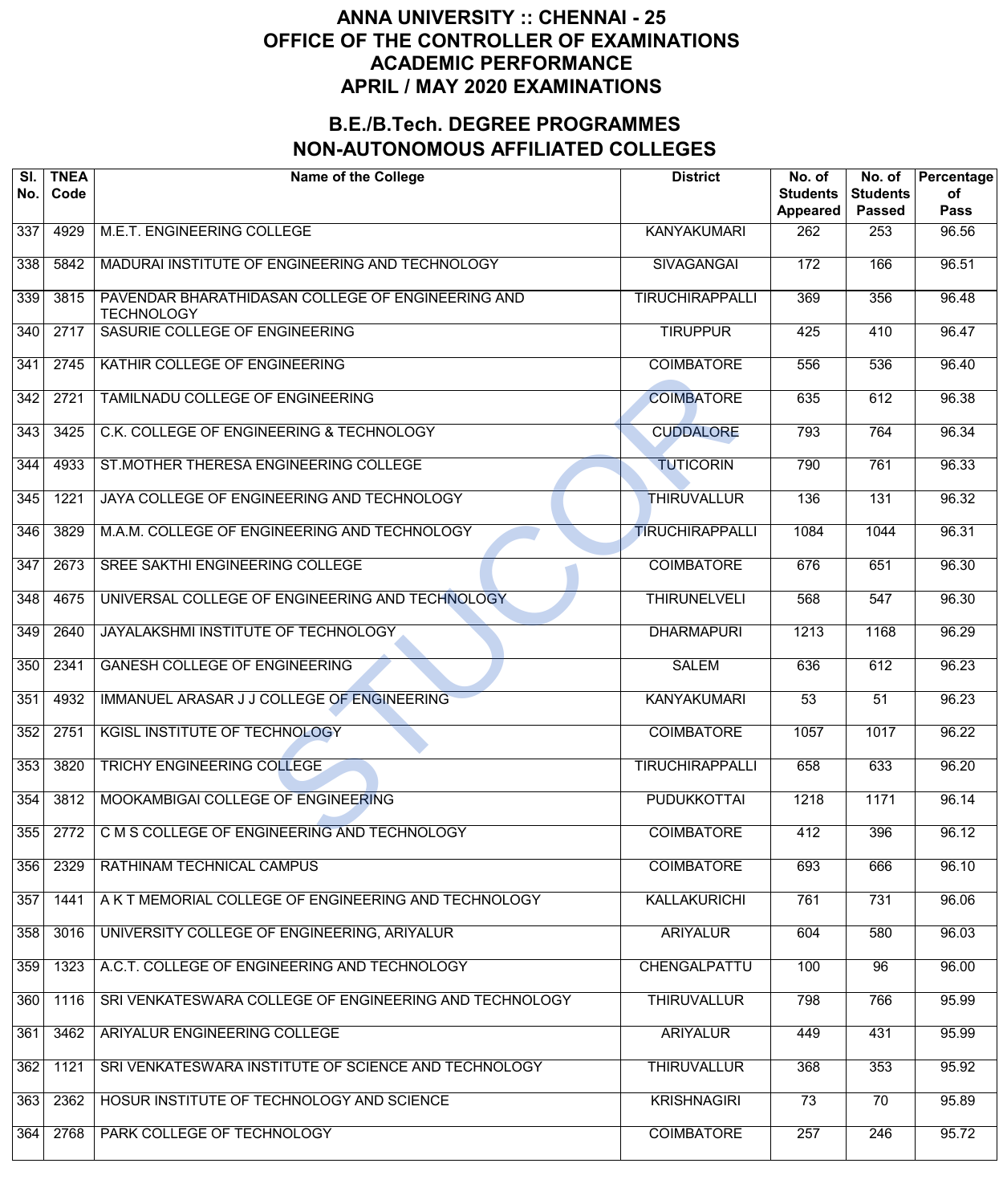| SI.<br>No.       | <b>TNEA</b><br>Code | <b>Name of the College</b>                                             | <b>District</b>        | No. of<br><b>Students</b><br><b>Appeared</b> | No. of<br><b>Students</b><br><b>Passed</b> | Percentage<br>of<br><b>Pass</b> |
|------------------|---------------------|------------------------------------------------------------------------|------------------------|----------------------------------------------|--------------------------------------------|---------------------------------|
| 337              | 4929                | M.E.T. ENGINEERING COLLEGE                                             | <b>KANYAKUMARI</b>     | 262                                          | 253                                        | 96.56                           |
| 338              | 5842                | MADURAI INSTITUTE OF ENGINEERING AND TECHNOLOGY                        | <b>SIVAGANGAI</b>      | 172                                          | 166                                        | 96.51                           |
| 339              | 3815                | PAVENDAR BHARATHIDASAN COLLEGE OF ENGINEERING AND<br><b>TECHNOLOGY</b> | <b>TIRUCHIRAPPALLI</b> | 369                                          | 356                                        | 96.48                           |
| 340              | 2717                | SASURIE COLLEGE OF ENGINEERING                                         | <b>TIRUPPUR</b>        | 425                                          | 410                                        | 96.47                           |
| 341              | 2745                | KATHIR COLLEGE OF ENGINEERING                                          | <b>COIMBATORE</b>      | 556                                          | 536                                        | 96.40                           |
| 342              | 2721                | TAMILNADU COLLEGE OF ENGINEERING                                       | <b>COIMBATORE</b>      | 635                                          | 612                                        | 96.38                           |
| $\overline{343}$ | 3425                | C.K. COLLEGE OF ENGINEERING & TECHNOLOGY                               | <b>CUDDALORE</b>       | 793                                          | 764                                        | 96.34                           |
| 344              | 4933                | ST.MOTHER THERESA ENGINEERING COLLEGE                                  | <b>TUTICORIN</b>       | 790                                          | 761                                        | 96.33                           |
| 345              | 1221                | JAYA COLLEGE OF ENGINEERING AND TECHNOLOGY                             | <b>THIRUVALLUR</b>     | 136                                          | 131                                        | 96.32                           |
| 346              | 3829                | M.A.M. COLLEGE OF ENGINEERING AND TECHNOLOGY                           | <b>TIRUCHIRAPPALLI</b> | 1084                                         | $\overline{1044}$                          | 96.31                           |
| 347              | 2673                | SREE SAKTHI ENGINEERING COLLEGE                                        | <b>COIMBATORE</b>      | 676                                          | 651                                        | 96.30                           |
| 348              | 4675                | UNIVERSAL COLLEGE OF ENGINEERING AND TECHNOLOGY                        | <b>THIRUNELVELI</b>    | 568                                          | 547                                        | 96.30                           |
| 349              | 2640                | JAYALAKSHMI INSTITUTE OF TECHNOLOGY                                    | <b>DHARMAPURI</b>      | 1213                                         | 1168                                       | 96.29                           |
| 350              | 2341                | <b>GANESH COLLEGE OF ENGINEERING</b>                                   | <b>SALEM</b>           | 636                                          | 612                                        | $\frac{1}{96.23}$               |
| 351              | 4932                | IMMANUEL ARASAR J J COLLEGE OF ENGINEERING                             | <b>KANYAKUMARI</b>     | $\overline{53}$                              | $\overline{51}$                            | 96.23                           |
| 352              | 2751                | <b>KGISL INSTITUTE OF TECHNOLOGY</b>                                   | <b>COIMBATORE</b>      | 1057                                         | 1017                                       | 96.22                           |
| 353              | 3820                | <b>TRICHY ENGINEERING COLLEGE</b>                                      | <b>TIRUCHIRAPPALLI</b> | 658                                          | 633                                        | 96.20                           |
| 354              | 3812                | MOOKAMBIGAI COLLEGE OF ENGINEERING                                     | <b>PUDUKKOTTAI</b>     | 1218                                         | 1171                                       | 96.14                           |
| 355              | 2772                | C M S COLLEGE OF ENGINEERING AND TECHNOLOGY                            | <b>COIMBATORE</b>      | 412                                          | 396                                        | 96.12                           |
| 356              | 2329                | RATHINAM TECHNICAL CAMPUS                                              | <b>COIMBATORE</b>      | 693                                          | 666                                        | 96.10                           |
| 357              | 1441                | A K T MEMORIAL COLLEGE OF ENGINEERING AND TECHNOLOGY                   | <b>KALLAKURICHI</b>    | 761                                          | 731                                        | 96.06                           |
| 358              | 3016                | UNIVERSITY COLLEGE OF ENGINEERING, ARIYALUR                            | <b>ARIYALUR</b>        | 604                                          | 580                                        | 96.03                           |
| 359              | 1323                | A.C.T. COLLEGE OF ENGINEERING AND TECHNOLOGY                           | CHENGALPATTU           | 100                                          | 96                                         | 96.00                           |
| 360              | 1116                | SRI VENKATESWARA COLLEGE OF ENGINEERING AND TECHNOLOGY                 | <b>THIRUVALLUR</b>     | 798                                          | 766                                        | 95.99                           |
| 361              | 3462                | ARIYALUR ENGINEERING COLLEGE                                           | <b>ARIYALUR</b>        | 449                                          | 431                                        | 95.99                           |
| 362              | 1121                | SRI VENKATESWARA INSTITUTE OF SCIENCE AND TECHNOLOGY                   | <b>THIRUVALLUR</b>     | 368                                          | 353                                        | 95.92                           |
| 363              | 2362                | HOSUR INSTITUTE OF TECHNOLOGY AND SCIENCE                              | <b>KRISHNAGIRI</b>     | 73                                           | $\overline{70}$                            | 95.89                           |
| 364              | 2768                | PARK COLLEGE OF TECHNOLOGY                                             | <b>COIMBATORE</b>      | 257                                          | $\overline{246}$                           | 95.72                           |
|                  |                     |                                                                        |                        |                                              |                                            |                                 |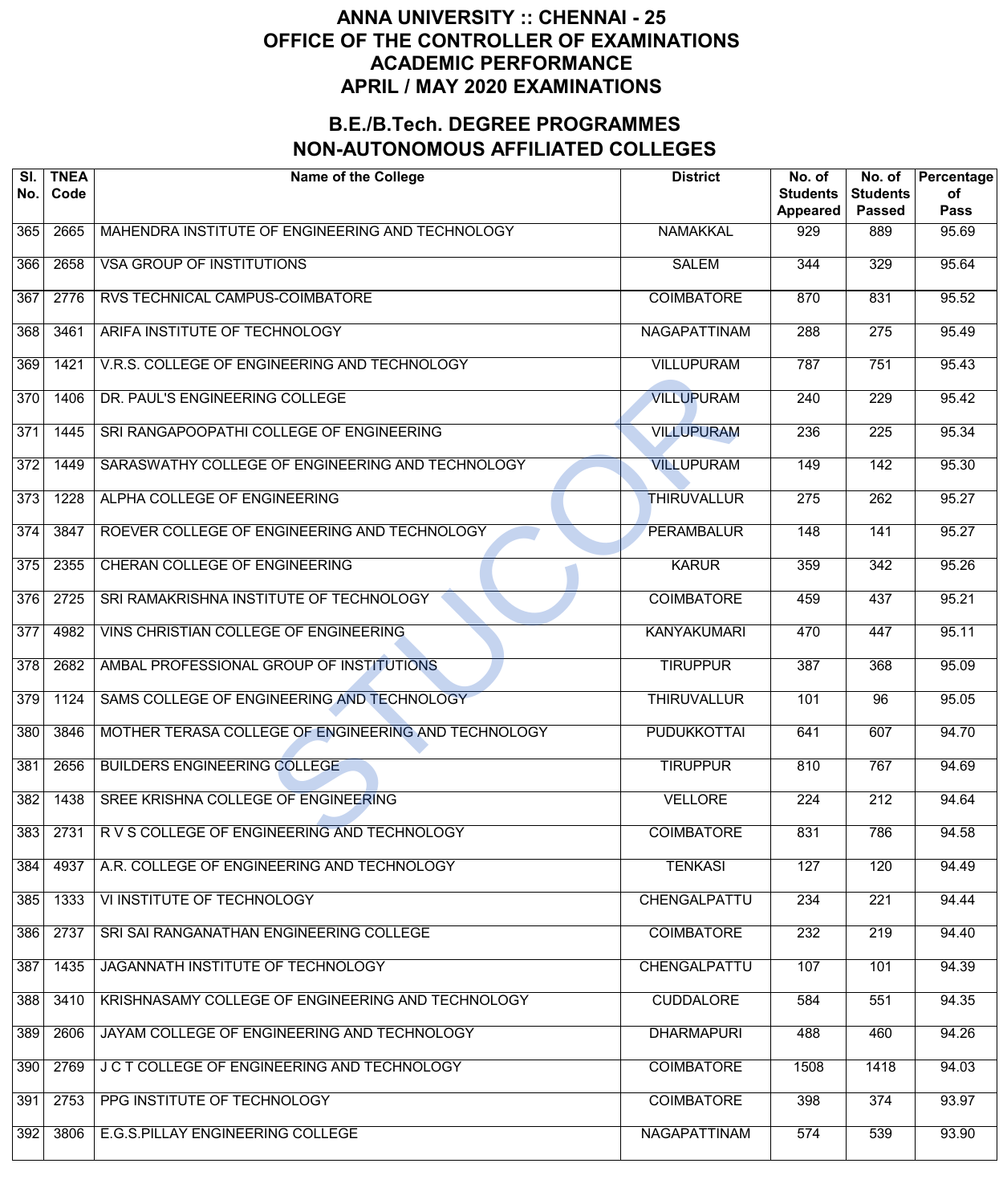| SI.<br>No. | <b>TNEA</b><br>Code | <b>Name of the College</b>                          | <b>District</b>     | No. of<br><b>Students</b><br>Appeared | No. of<br><b>Students</b><br><b>Passed</b> | Percentage<br>of<br><b>Pass</b> |
|------------|---------------------|-----------------------------------------------------|---------------------|---------------------------------------|--------------------------------------------|---------------------------------|
| 365        | 2665                | MAHENDRA INSTITUTE OF ENGINEERING AND TECHNOLOGY    | <b>NAMAKKAL</b>     | 929                                   | 889                                        | 95.69                           |
| 366        | 2658                | <b>VSA GROUP OF INSTITUTIONS</b>                    | <b>SALEM</b>        | 344                                   | 329                                        | 95.64                           |
| 367        | 2776                | RVS TECHNICAL CAMPUS-COIMBATORE                     | <b>COIMBATORE</b>   | 870                                   | 831                                        | 95.52                           |
| 368        | 3461                | ARIFA INSTITUTE OF TECHNOLOGY                       | <b>NAGAPATTINAM</b> | 288                                   | $\overline{275}$                           | $\frac{1}{95.49}$               |
| 369        | 1421                | V.R.S. COLLEGE OF ENGINEERING AND TECHNOLOGY        | <b>VILLUPURAM</b>   | 787                                   | 751                                        | 95.43                           |
| 370        | 1406                | DR. PAUL'S ENGINEERING COLLEGE                      | <b>VILLUPURAM</b>   | 240                                   | $\overline{229}$                           | 95.42                           |
| 371        | 1445                | SRI RANGAPOOPATHI COLLEGE OF ENGINEERING            | <b>VILLUPURAM</b>   | 236                                   | $\overline{225}$                           | 95.34                           |
| 372        | 1449                | SARASWATHY COLLEGE OF ENGINEERING AND TECHNOLOGY    | <b>VILLUPURAM</b>   | 149                                   | $\overline{142}$                           | 95.30                           |
| 373        | 1228                | ALPHA COLLEGE OF ENGINEERING                        | <b>THIRUVALLUR</b>  | $\overline{275}$                      | $\overline{262}$                           | 95.27                           |
| 374        | 3847                | ROEVER COLLEGE OF ENGINEERING AND TECHNOLOGY        | <b>PERAMBALUR</b>   | 148                                   | $\overline{141}$                           | 95.27                           |
| 375        | 2355                | CHERAN COLLEGE OF ENGINEERING                       | <b>KARUR</b>        | 359                                   | $\overline{342}$                           | 95.26                           |
| 376        | 2725                | SRI RAMAKRISHNA INSTITUTE OF TECHNOLOGY             | <b>COIMBATORE</b>   | 459                                   | 437                                        | 95.21                           |
| 377        | 4982                | VINS CHRISTIAN COLLEGE OF ENGINEERING               | <b>KANYAKUMARI</b>  | 470                                   | 447                                        | 95.11                           |
| 378        | 2682                | AMBAL PROFESSIONAL GROUP OF INSTITUTIONS            | <b>TIRUPPUR</b>     | 387                                   | 368                                        | 95.09                           |
| 379        | 1124                | SAMS COLLEGE OF ENGINEERING AND TECHNOLOGY          | <b>THIRUVALLUR</b>  | 101                                   | $\overline{96}$                            | 95.05                           |
| 380        | 3846                | MOTHER TERASA COLLEGE OF ENGINEERING AND TECHNOLOGY | <b>PUDUKKOTTAI</b>  | 641                                   | 607                                        | 94.70                           |
| 381        | 2656                | <b>BUILDERS ENGINEERING COLLEGE</b>                 | <b>TIRUPPUR</b>     | 810                                   | 767                                        | 94.69                           |
| 382        | 1438                | SREE KRISHNA COLLEGE OF ENGINEERING                 | <b>VELLORE</b>      | 224                                   | 212                                        | 94.64                           |
| 383        | 2731                | R V S COLLEGE OF ENGINEERING AND TECHNOLOGY         | <b>COIMBATORE</b>   | 831                                   | 786                                        | 94.58                           |
| 384        | 4937                | A.R. COLLEGE OF ENGINEERING AND TECHNOLOGY          | <b>TENKASI</b>      | 127                                   | 120                                        | $\sqrt{94.49}$                  |
| 385        | 1333                | VI INSTITUTE OF TECHNOLOGY                          | CHENGALPATTU        | 234                                   | $\overline{221}$                           | 94.44                           |
| 386        | 2737                | SRI SAI RANGANATHAN ENGINEERING COLLEGE             | <b>COIMBATORE</b>   | 232                                   | 219                                        | 94.40                           |
| 387        | 1435                | JAGANNATH INSTITUTE OF TECHNOLOGY                   | CHENGALPATTU        | 107                                   | 101                                        | 94.39                           |
| 388        | 3410                | KRISHNASAMY COLLEGE OF ENGINEERING AND TECHNOLOGY   | <b>CUDDALORE</b>    | 584                                   | 551                                        | 94.35                           |
| 389        | 2606                | JAYAM COLLEGE OF ENGINEERING AND TECHNOLOGY         | <b>DHARMAPURI</b>   | 488                                   | 460                                        | 94.26                           |
| 390        | 2769                | J C T COLLEGE OF ENGINEERING AND TECHNOLOGY         | <b>COIMBATORE</b>   | 1508                                  | 1418                                       | 94.03                           |
| 391        | 2753                | PPG INSTITUTE OF TECHNOLOGY                         | <b>COIMBATORE</b>   | 398                                   | 374                                        | 93.97                           |
| 392        | 3806                | E.G.S.PILLAY ENGINEERING COLLEGE                    | NAGAPATTINAM        | 574                                   | 539                                        | 93.90                           |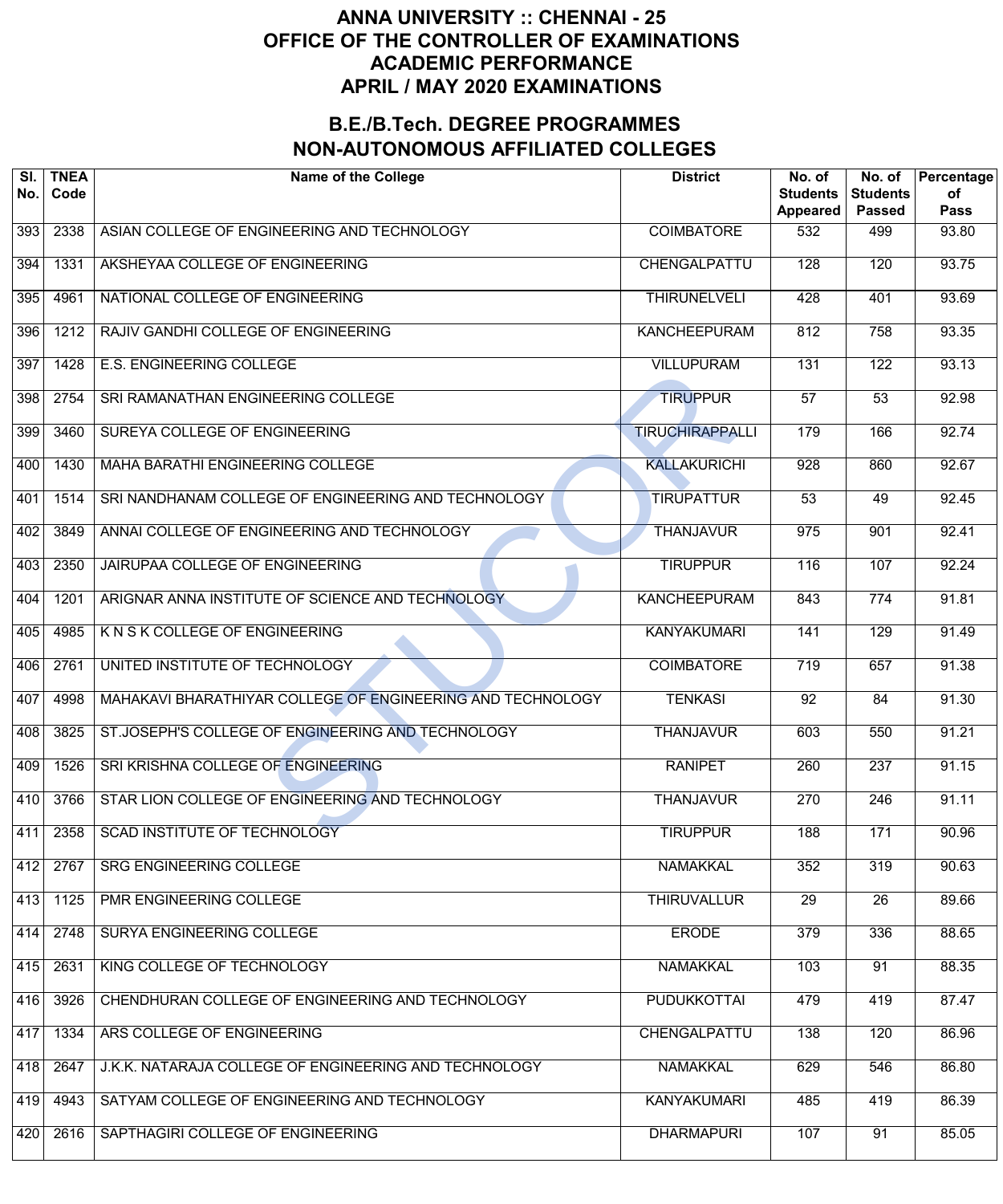| SI.<br>No. | <b>TNEA</b><br>Code | <b>Name of the College</b>                                 | <b>District</b>        | No. of<br><b>Students</b><br>Appeared | No. of<br><b>Students</b><br><b>Passed</b> | Percentage<br>οf<br><b>Pass</b> |
|------------|---------------------|------------------------------------------------------------|------------------------|---------------------------------------|--------------------------------------------|---------------------------------|
| 393        | 2338                | ASIAN COLLEGE OF ENGINEERING AND TECHNOLOGY                | <b>COIMBATORE</b>      | 532                                   | 499                                        | 93.80                           |
| 394        | 1331                | AKSHEYAA COLLEGE OF ENGINEERING                            | CHENGALPATTU           | 128                                   | 120                                        | 93.75                           |
| 395        | 4961                | NATIONAL COLLEGE OF ENGINEERING                            | <b>THIRUNELVELI</b>    | 428                                   | 401                                        | 93.69                           |
| 396        | 1212                | RAJIV GANDHI COLLEGE OF ENGINEERING                        | <b>KANCHEEPURAM</b>    | 812                                   | 758                                        | 93.35                           |
| 397        | 1428                | <b>E.S. ENGINEERING COLLEGE</b>                            | <b>VILLUPURAM</b>      | 131                                   | $\overline{122}$                           | 93.13                           |
| 398        | 2754                | SRI RAMANATHAN ENGINEERING COLLEGE                         | <b>TIRUPPUR</b>        | $\overline{57}$                       | $\overline{53}$                            | 92.98                           |
| 399        | 3460                | SUREYA COLLEGE OF ENGINEERING                              | <b>TIRUCHIRAPPALLI</b> | 179                                   | 166                                        | 92.74                           |
| 400        | 1430                | <b>MAHA BARATHI ENGINEERING COLLEGE</b>                    | <b>KALLAKURICHI</b>    | $\overline{928}$                      | 860                                        | 92.67                           |
| 401        | 1514                | SRI NANDHANAM COLLEGE OF ENGINEERING AND TECHNOLOGY        | <b>TIRUPATTUR</b>      | $\overline{53}$                       | 49                                         | 92.45                           |
| 402        | 3849                | ANNAI COLLEGE OF ENGINEERING AND TECHNOLOGY                | <b>THANJAVUR</b>       | 975                                   | 901                                        | 92.41                           |
| 403        | 2350                | JAIRUPAA COLLEGE OF ENGINEERING                            | <b>TIRUPPUR</b>        | 116                                   | 107                                        | 92.24                           |
| 404        | 1201                | ARIGNAR ANNA INSTITUTE OF SCIENCE AND TECHNOLOGY           | <b>KANCHEEPURAM</b>    | 843                                   | 774                                        | 91.81                           |
| 405        | 4985                | K N S K COLLEGE OF ENGINEERING                             | <b>KANYAKUMARI</b>     | 141                                   | 129                                        | 91.49                           |
| 406        | 2761                | UNITED INSTITUTE OF TECHNOLOGY                             | <b>COIMBATORE</b>      | 719                                   | 657                                        | 91.38                           |
| 407        | 4998                | MAHAKAVI BHARATHIYAR COLLEGE OF ENGINEERING AND TECHNOLOGY | <b>TENKASI</b>         | $\overline{92}$                       | 84                                         | 91.30                           |
| 408        | 3825                | ST.JOSEPH'S COLLEGE OF ENGINEERING AND TECHNOLOGY          | <b>THANJAVUR</b>       | 603                                   | 550                                        | 91.21                           |
| 409        | 1526                | SRI KRISHNA COLLEGE OF ENGINEERING                         | <b>RANIPET</b>         | 260                                   | 237                                        | 91.15                           |
| 410        | 3766                | STAR LION COLLEGE OF ENGINEERING AND TECHNOLOGY            | <b>THANJAVUR</b>       | 270                                   | $\overline{246}$                           | 91.11                           |
| 411        | 2358                | <b>SCAD INSTITUTE OF TECHNOLOGY</b>                        | <b>TIRUPPUR</b>        | 188                                   | 171                                        | 90.96                           |
| 412        | 2767                | <b>SRG ENGINEERING COLLEGE</b>                             | <b>NAMAKKAL</b>        | 352                                   | 319                                        | 90.63                           |
| 413        | 1125                | PMR ENGINEERING COLLEGE                                    | <b>THIRUVALLUR</b>     | $\overline{29}$                       | $\overline{26}$                            | 89.66                           |
| 414        | 2748                | SURYA ENGINEERING COLLEGE                                  | <b>ERODE</b>           | 379                                   | 336                                        | 88.65                           |
| 415        | 2631                | KING COLLEGE OF TECHNOLOGY                                 | <b>NAMAKKAL</b>        | 103                                   | 91                                         | 88.35                           |
| 416        | 3926                | CHENDHURAN COLLEGE OF ENGINEERING AND TECHNOLOGY           | <b>PUDUKKOTTAI</b>     | 479                                   | 419                                        | 87.47                           |
| 417        | 1334                | ARS COLLEGE OF ENGINEERING                                 | <b>CHENGALPATTU</b>    | 138                                   | 120                                        | 86.96                           |
| 418        | 2647                | J.K.K. NATARAJA COLLEGE OF ENGINEERING AND TECHNOLOGY      | <b>NAMAKKAL</b>        | 629                                   | 546                                        | 86.80                           |
| 419        | 4943                | SATYAM COLLEGE OF ENGINEERING AND TECHNOLOGY               | <b>KANYAKUMARI</b>     | 485                                   | 419                                        | 86.39                           |
| 420        | 2616                | SAPTHAGIRI COLLEGE OF ENGINEERING                          | <b>DHARMAPURI</b>      | 107                                   | 91                                         | 85.05                           |